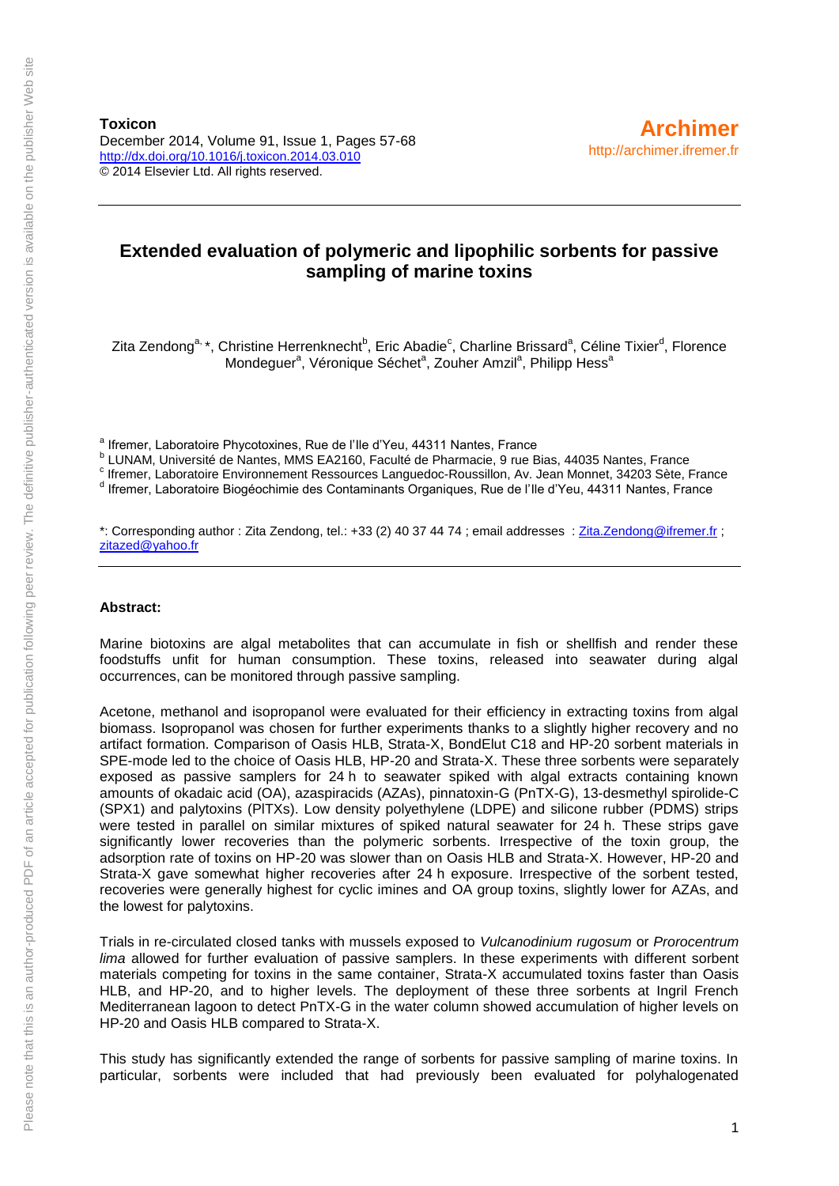**Toxicon** December 2014, Volume 91, Issue 1, Pages 57-68 <http://dx.doi.org/10.1016/j.toxicon.2014.03.010> © 2014 Elsevier Ltd. All rights reserved.

## **Extended evaluation of polymeric and lipophilic sorbents for passive sampling of marine toxins**

Zita Zendong<sup>a,</sup> \*, Christine Herrenknecht<sup>b</sup>, Eric Abadie<sup>c</sup>, Charline Brissard<sup>a</sup>, Céline Tixier<sup>d</sup>, Florence Mondeguer<sup>a</sup>, Véronique Séchet<sup>a</sup>, Zouher Amzil<sup>a</sup>, Philipp Hess<sup>a</sup>

<sup>a</sup> Ifremer, Laboratoire Phycotoxines, Rue de l'Ile d'Yeu, 44311 Nantes, France

<sup>b</sup> LUNAM, Université de Nantes, MMS EA2160, Faculté de Pharmacie, 9 rue Bias, 44035 Nantes, France

c Ifremer, Laboratoire Environnement Ressources Languedoc-Roussillon, Av. Jean Monnet, 34203 Sète, France

d Ifremer, Laboratoire Biogéochimie des Contaminants Organiques, Rue de l'Ile d'Yeu, 44311 Nantes, France

\*: Corresponding author : Zita Zendong, tel.: +33 (2) 40 37 44 74 ; email addresses : [Zita.Zendong@ifremer.fr](mailto:Zita.Zendong@ifremer.fr) ; [zitazed@yahoo.fr](mailto:zitazed@yahoo.fr) 

#### **Abstract:**

Marine biotoxins are algal metabolites that can accumulate in fish or shellfish and render these foodstuffs unfit for human consumption. These toxins, released into seawater during algal occurrences, can be monitored through passive sampling.

Acetone, methanol and isopropanol were evaluated for their efficiency in extracting toxins from algal biomass. Isopropanol was chosen for further experiments thanks to a slightly higher recovery and no artifact formation. Comparison of Oasis HLB, Strata-X, BondElut C18 and HP-20 sorbent materials in SPE-mode led to the choice of Oasis HLB, HP-20 and Strata-X. These three sorbents were separately exposed as passive samplers for 24 h to seawater spiked with algal extracts containing known amounts of okadaic acid (OA), azaspiracids (AZAs), pinnatoxin-G (PnTX-G), 13-desmethyl spirolide-C (SPX1) and palytoxins (PlTXs). Low density polyethylene (LDPE) and silicone rubber (PDMS) strips were tested in parallel on similar mixtures of spiked natural seawater for 24 h. These strips gave significantly lower recoveries than the polymeric sorbents. Irrespective of the toxin group, the adsorption rate of toxins on HP-20 was slower than on Oasis HLB and Strata-X. However, HP-20 and Strata-X gave somewhat higher recoveries after 24 h exposure. Irrespective of the sorbent tested, recoveries were generally highest for cyclic imines and OA group toxins, slightly lower for AZAs, and the lowest for palytoxins.

Trials in re-circulated closed tanks with mussels exposed to *Vulcanodinium rugosum* or *Prorocentrum lima* allowed for further evaluation of passive samplers. In these experiments with different sorbent materials competing for toxins in the same container, Strata-X accumulated toxins faster than Oasis HLB, and HP-20, and to higher levels. The deployment of these three sorbents at Ingril French Mediterranean lagoon to detect PnTX-G in the water column showed accumulation of higher levels on HP-20 and Oasis HLB compared to Strata-X.

This study has significantly extended the range of sorbents for passive sampling of marine toxins. In particular, sorbents were included that had previously been evaluated for polyhalogenated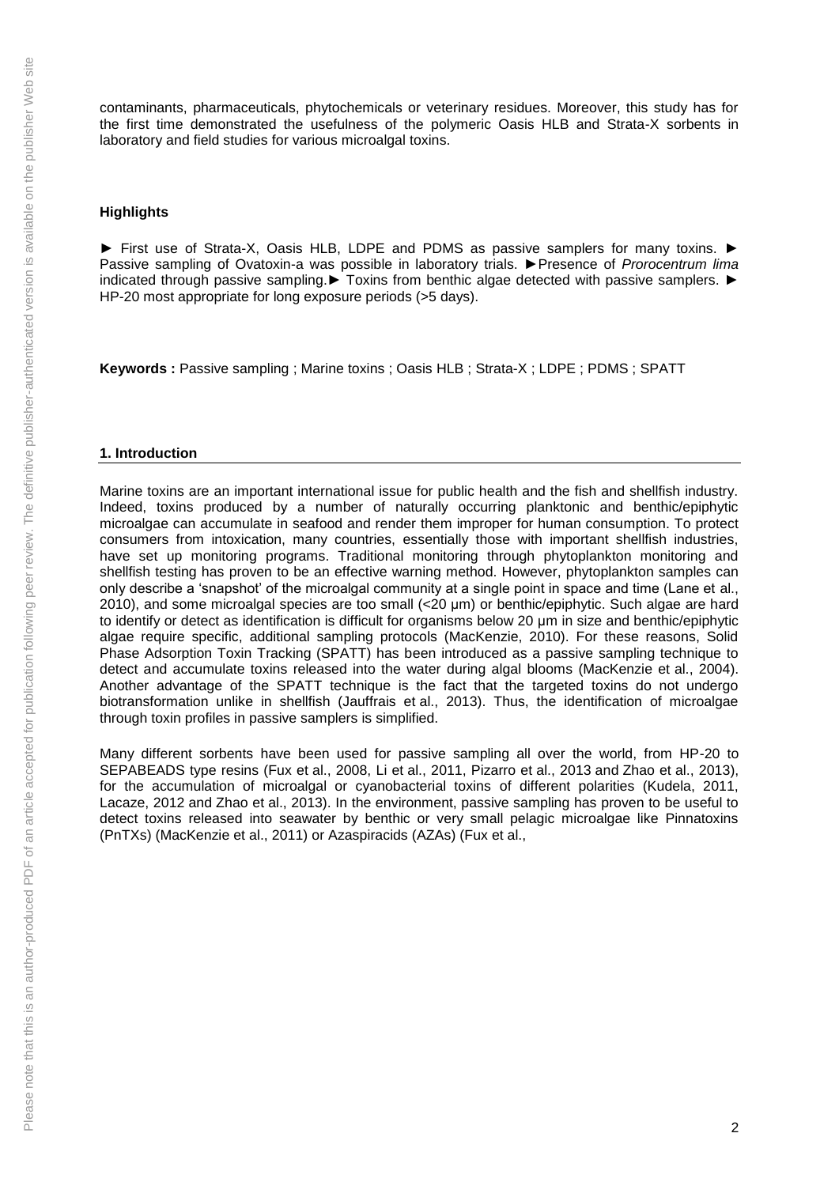contaminants, pharmaceuticals, phytochemicals or veterinary residues. Moreover, this study has for the first time demonstrated the usefulness of the polymeric Oasis HLB and Strata-X sorbents in laboratory and field studies for various microalgal toxins.

#### **Highlights**

► First use of Strata-X, Oasis HLB, LDPE and PDMS as passive samplers for many toxins. ► Passive sampling of Ovatoxin-a was possible in laboratory trials. ►Presence of *Prorocentrum lima* indicated through passive sampling.► Toxins from benthic algae detected with passive samplers. ► HP-20 most appropriate for long exposure periods (>5 days).

**Keywords :** Passive sampling ; Marine toxins ; Oasis HLB ; Strata-X ; LDPE ; PDMS ; SPATT

#### **1. Introduction**

Marine toxins are an important international issue for public health and the fish and shellfish industry. Indeed, toxins produced by a number of naturally occurring planktonic and benthic/epiphytic microalgae can accumulate in seafood and render them improper for human consumption. To protect consumers from intoxication, many countries, essentially those with important shellfish industries, have set up monitoring programs. Traditional monitoring through phytoplankton monitoring and shellfish testing has proven to be an effective warning method. However, phytoplankton samples can only describe a 'snapshot' of the microalgal community at a single point in space and time (Lane et al., 2010), and some microalgal species are too small (<20 μm) or benthic/epiphytic. Such algae are hard to identify or detect as identification is difficult for organisms below 20 μm in size and benthic/epiphytic algae require specific, additional sampling protocols (MacKenzie, 2010). For these reasons, Solid Phase Adsorption Toxin Tracking (SPATT) has been introduced as a passive sampling technique to detect and accumulate toxins released into the water during algal blooms (MacKenzie et al., 2004). Another advantage of the SPATT technique is the fact that the targeted toxins do not undergo biotransformation unlike in shellfish (Jauffrais et al., 2013). Thus, the identification of microalgae through toxin profiles in passive samplers is simplified.

Many different sorbents have been used for passive sampling all over the world, from HP-20 to SEPABEADS type resins (Fux et al., 2008, Li et al., 2011, Pizarro et al., 2013 and Zhao et al., 2013), for the accumulation of microalgal or cyanobacterial toxins of different polarities (Kudela, 2011, Lacaze, 2012 and Zhao et al., 2013). In the environment, passive sampling has proven to be useful to detect toxins released into seawater by benthic or very small pelagic microalgae like Pinnatoxins (PnTXs) (MacKenzie et al., 2011) or Azaspiracids (AZAs) (Fux et al.,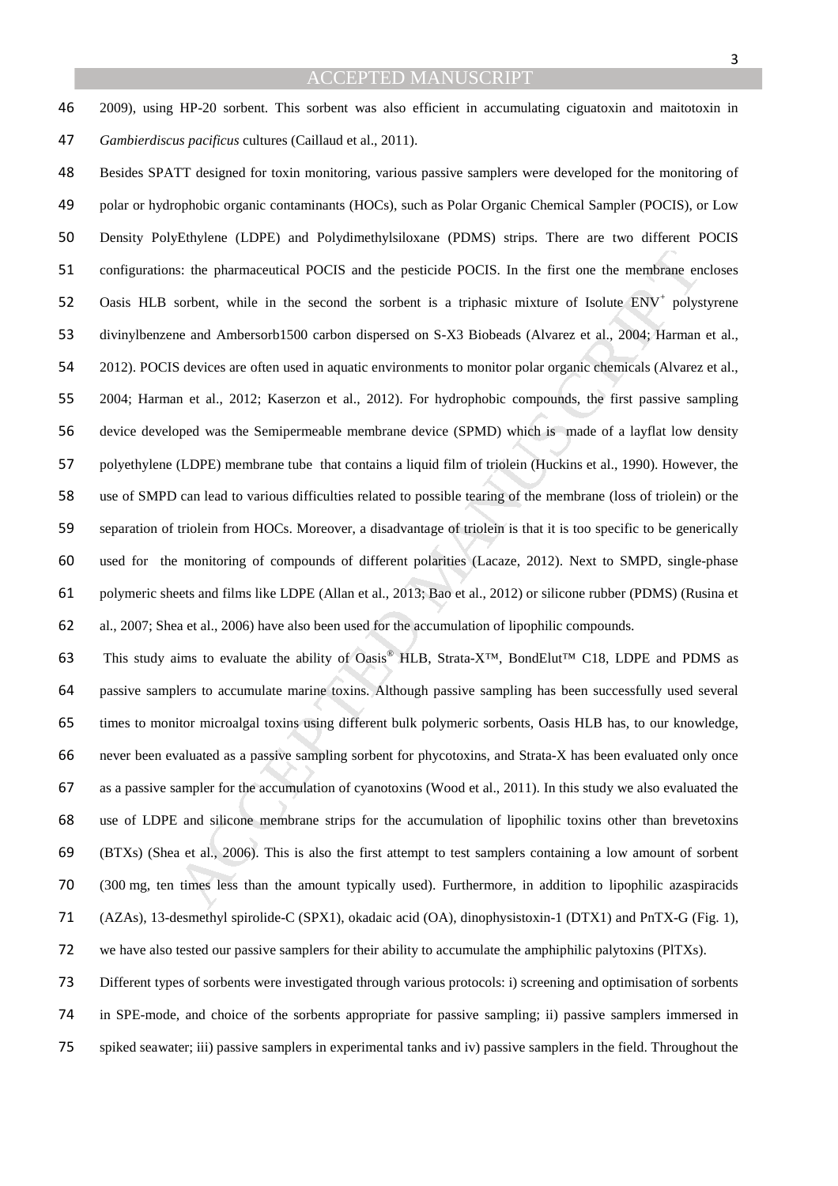2009), using HP-20 sorbent. This sorbent was also efficient in accumulating ciguatoxin and maitotoxin in *Gambierdiscus pacificus* cultures (Caillaud et al., 2011).

s: the pharmaceutical POCIS and the pesticide POCIS. In the first one the membrane en<br>sorbent, while in the second the sorbrent is a triphasic mixture of Isolute ENV<sup></sup> polys<br>ne and Ambersorh J500 carbon dispersed on S-X3 B Besides SPATT designed for toxin monitoring, various passive samplers were developed for the monitoring of polar or hydrophobic organic contaminants (HOCs), such as Polar Organic Chemical Sampler (POCIS), or Low Density PolyEthylene (LDPE) and Polydimethylsiloxane (PDMS) strips. There are two different POCIS configurations: the pharmaceutical POCIS and the pesticide POCIS. In the first one the membrane encloses 52 Oasis HLB sorbent, while in the second the sorbent is a triphasic mixture of Isolute ENV<sup>+</sup> polystyrene divinylbenzene and Ambersorb1500 carbon dispersed on S-X3 Biobeads (Alvarez et al., 2004; Harman et al., 2012). POCIS devices are often used in aquatic environments to monitor polar organic chemicals (Alvarez et al., 2004; Harman et al., 2012; Kaserzon et al., 2012). For hydrophobic compounds, the first passive sampling device developed was the Semipermeable membrane device (SPMD) which is made of a layflat low density polyethylene (LDPE) membrane tube that contains a liquid film of triolein (Huckins et al., 1990). However, the use of SMPD can lead to various difficulties related to possible tearing of the membrane (loss of triolein) or the separation of triolein from HOCs. Moreover, a disadvantage of triolein is that it is too specific to be generically used for the monitoring of compounds of different polarities (Lacaze, 2012). Next to SMPD, single-phase polymeric sheets and films like LDPE (Allan et al., 2013; Bao et al., 2012) or silicone rubber (PDMS) (Rusina et al., 2007; Shea et al., 2006) have also been used for the accumulation of lipophilic compounds.

63 This study aims to evaluate the ability of Oasis® HLB, Strata-X<sup>™</sup>, BondElut<sup>™</sup> C18, LDPE and PDMS as passive samplers to accumulate marine toxins. Although passive sampling has been successfully used several times to monitor microalgal toxins using different bulk polymeric sorbents, Oasis HLB has, to our knowledge, never been evaluated as a passive sampling sorbent for phycotoxins, and Strata-X has been evaluated only once as a passive sampler for the accumulation of cyanotoxins (Wood et al., 2011). In this study we also evaluated the use of LDPE and silicone membrane strips for the accumulation of lipophilic toxins other than brevetoxins (BTXs) (Shea et al., 2006). This is also the first attempt to test samplers containing a low amount of sorbent (300 mg, ten times less than the amount typically used). Furthermore, in addition to lipophilic azaspiracids (AZAs), 13-desmethyl spirolide-C (SPX1), okadaic acid (OA), dinophysistoxin-1 (DTX1) and PnTX-G (Fig. 1), we have also tested our passive samplers for their ability to accumulate the amphiphilic palytoxins (PlTXs).

Different types of sorbents were investigated through various protocols: i) screening and optimisation of sorbents in SPE-mode, and choice of the sorbents appropriate for passive sampling; ii) passive samplers immersed in spiked seawater; iii) passive samplers in experimental tanks and iv) passive samplers in the field. Throughout the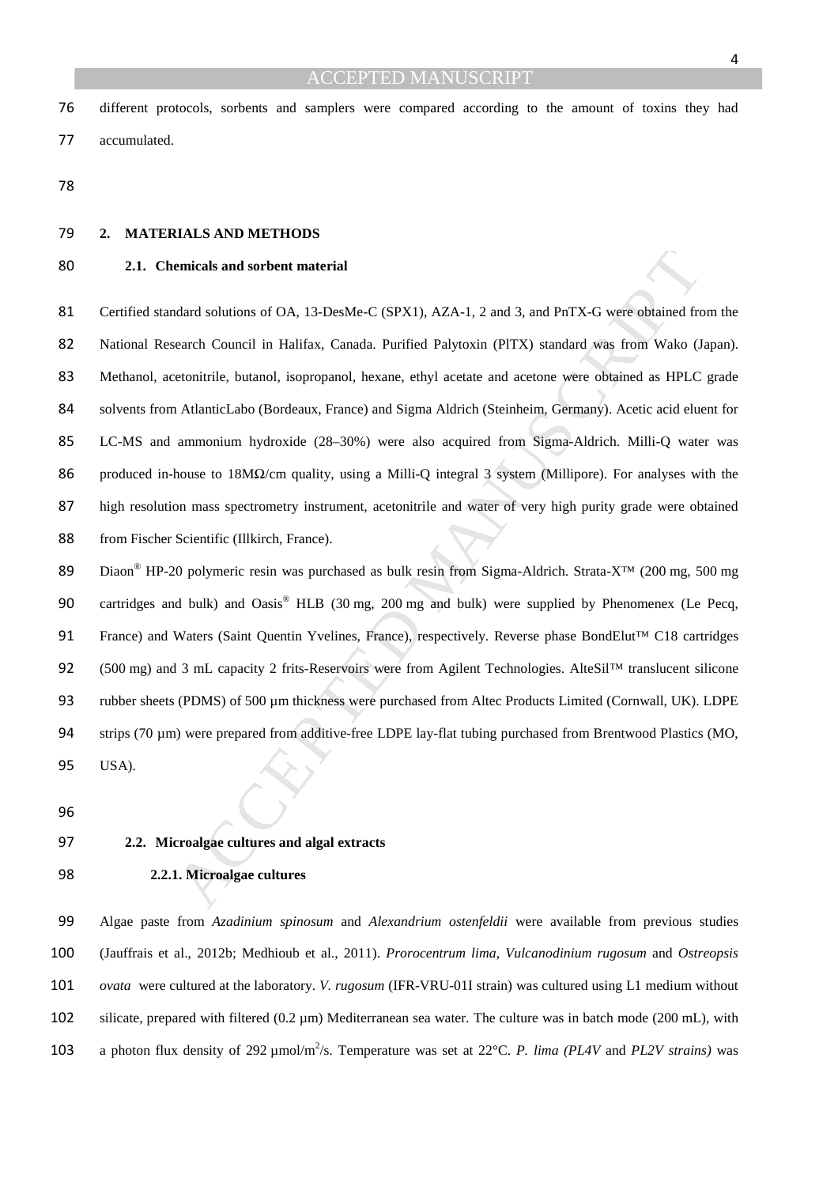different protocols, sorbents and samplers were compared according to the amount of toxins they had accumulated.

## **2. MATERIALS AND METHODS**

## **2.1. Chemicals and sorbent material**

emicals and sorbent material<br>
udard solutions of OA, 13-DesMe-C (SPX1), AZA-1, 2 and 3, and PnTX-G were obtained fre<br>
each Council in Halifax, Canada. Purified Palytoxin (PITX) standard was from Wako (J<br>
etonitrile, butano 81 Certified standard solutions of OA, 13-DesMe-C (SPX1), AZA-1, 2 and 3, and PnTX-G were obtained from the National Research Council in Halifax, Canada. Purified Palytoxin (PlTX) standard was from Wako (Japan). Methanol, acetonitrile, butanol, isopropanol, hexane, ethyl acetate and acetone were obtained as HPLC grade solvents from AtlanticLabo (Bordeaux, France) and Sigma Aldrich (Steinheim, Germany). Acetic acid eluent for LC-MS and ammonium hydroxide (28–30%) were also acquired from Sigma-Aldrich. Milli-Q water was produced in-house to 18MΩ/cm quality, using a Milli-Q integral 3 system (Millipore). For analyses with the high resolution mass spectrometry instrument, acetonitrile and water of very high purity grade were obtained from Fischer Scientific (Illkirch, France).

89 Diaon<sup>®</sup> HP-20 polymeric resin was purchased as bulk resin from Sigma-Aldrich. Strata-X™ (200 mg, 500 mg 90 cartridges and bulk) and Oasis® HLB (30 mg, 200 mg and bulk) were supplied by Phenomenex (Le Pecq, 91 France) and Waters (Saint Quentin Yvelines, France), respectively. Reverse phase BondElut™ C18 cartridges 92 (500 mg) and 3 mL capacity 2 frits-Reservoirs were from Agilent Technologies. AlteSil™ translucent silicone 93 rubber sheets (PDMS) of 500 µm thickness were purchased from Altec Products Limited (Cornwall, UK). LDPE 94 strips (70 µm) were prepared from additive-free LDPE lay-flat tubing purchased from Brentwood Plastics (MO, USA).

#### **2.2. Microalgae cultures and algal extracts**

#### **2.2.1. Microalgae cultures**

Algae paste from *Azadinium spinosum* and *Alexandrium ostenfeldii* were available from previous studies (Jauffrais et al., 2012b; Medhioub et al., 2011). *Prorocentrum lima*, *Vulcanodinium rugosum* and *Ostreopsis ovata* were cultured at the laboratory. *V. rugosum* (IFR-VRU-01I strain) was cultured using L1 medium without silicate, prepared with filtered (0.2 µm) Mediterranean sea water*.* The culture was in batch mode (200 mL), with 103 a photon flux density of 292 μmol/m<sup>2</sup>/s. Temperature was set at 22°C. *P. lima (PL4V* and *PL2V strains)* was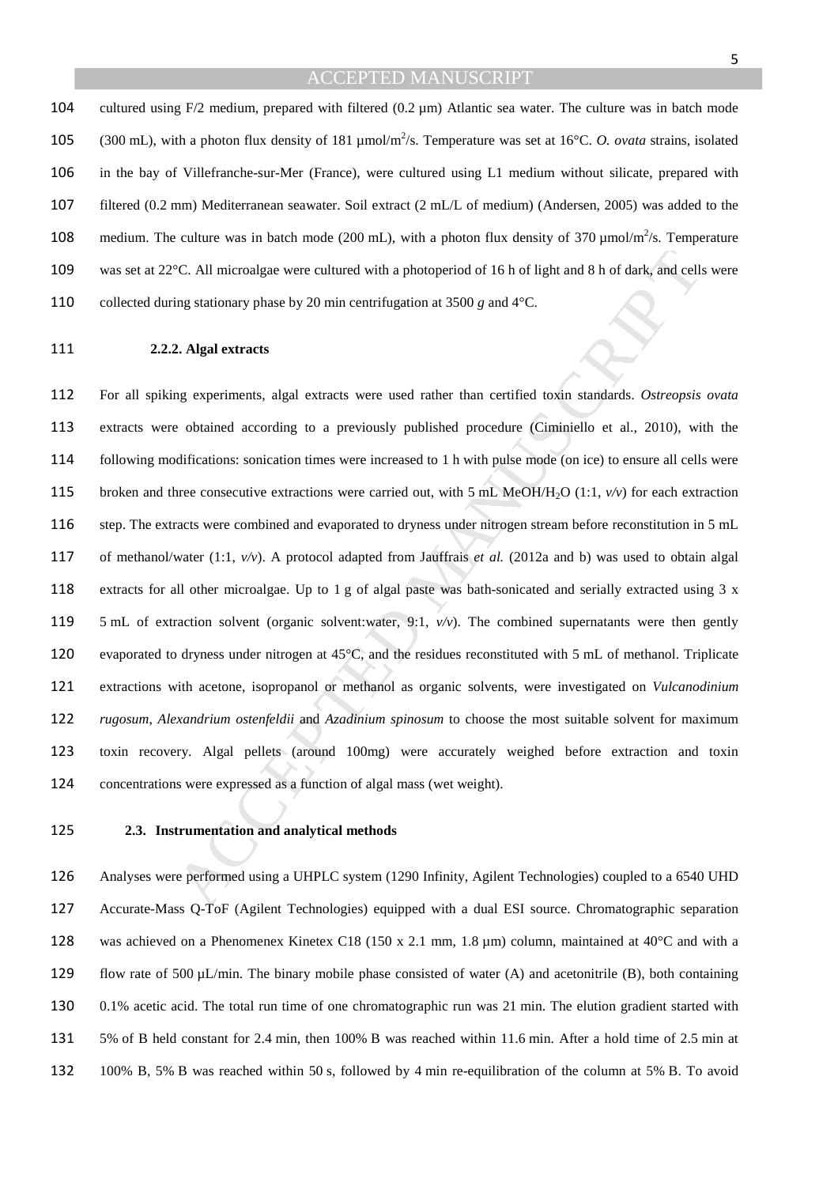104 cultured using  $F/2$  medium, prepared with filtered (0.2  $\mu$ m) Atlantic sea water. The culture was in batch mode 105 (300 mL), with a photon flux density of 181 µmol/m<sup>2</sup>/s. Temperature was set at 16°C. *O. ovata* strains, isolated in the bay of Villefranche-sur-Mer (France), were cultured using L1 medium without silicate, prepared with filtered (0.2 mm) Mediterranean seawater. Soil extract (2 mL/L of medium) (Andersen, 2005) was added to the 108 medium. The culture was in batch mode (200 mL), with a photon flux density of 370  $\mu$ mol/m<sup>2</sup>/s. Temperature was set at 22°C. All microalgae were cultured with a photoperiod of 16 h of light and 8 h of dark, and cells were collected during stationary phase by 20 min centrifugation at 3500 *g* and 4°C.

#### **2.2.2. Algal extracts**

<sup>2</sup>C. All microalgae were cultured with a photoperiod of 16 h of light and 8 h of dark, and celling stationary phase by 20 min centrifugation at 3500 g and 4°C.<br> **2. Algal extracts**<br> **g** experiments, algal extracts were u For all spiking experiments, algal extracts were used rather than certified toxin standards. *Ostreopsis ovata* extracts were obtained according to a previously published procedure (Ciminiello et al., 2010), with the following modifications: sonication times were increased to 1 h with pulse mode (on ice) to ensure all cells were 115 broken and three consecutive extractions were carried out, with 5 mL MeOH/H<sub>2</sub>O (1:1, *v/v*) for each extraction step. The extracts were combined and evaporated to dryness under nitrogen stream before reconstitution in 5 mL of methanol/water (1:1, *v/v*). A protocol adapted from Jauffrais *et al.* (2012a and b) was used to obtain algal extracts for all other microalgae. Up to 1 g of algal paste was bath-sonicated and serially extracted using 3 x 5 mL of extraction solvent (organic solvent:water, 9:1, *v/v*). The combined supernatants were then gently evaporated to dryness under nitrogen at 45°C, and the residues reconstituted with 5 mL of methanol. Triplicate extractions with acetone, isopropanol or methanol as organic solvents, were investigated on *Vulcanodinium rugosum*, *Alexandrium ostenfeldii* and *Azadinium spinosum* to choose the most suitable solvent for maximum toxin recovery. Algal pellets (around 100mg) were accurately weighed before extraction and toxin concentrations were expressed as a function of algal mass (wet weight).

#### **2.3. Instrumentation and analytical methods**

Analyses were performed using a UHPLC system (1290 Infinity, Agilent Technologies) coupled to a 6540 UHD Accurate-Mass Q-ToF (Agilent Technologies) equipped with a dual ESI source. Chromatographic separation was achieved on a Phenomenex Kinetex C18 (150 x 2.1 mm, 1.8 µm) column, maintained at 40°C and with a 129 flow rate of 500  $\mu$ L/min. The binary mobile phase consisted of water (A) and acetonitrile (B), both containing 0.1% acetic acid. The total run time of one chromatographic run was 21 min. The elution gradient started with 5% of B held constant for 2.4 min, then 100% B was reached within 11.6 min. After a hold time of 2.5 min at 100% B, 5% B was reached within 50 s, followed by 4 min re-equilibration of the column at 5% B. To avoid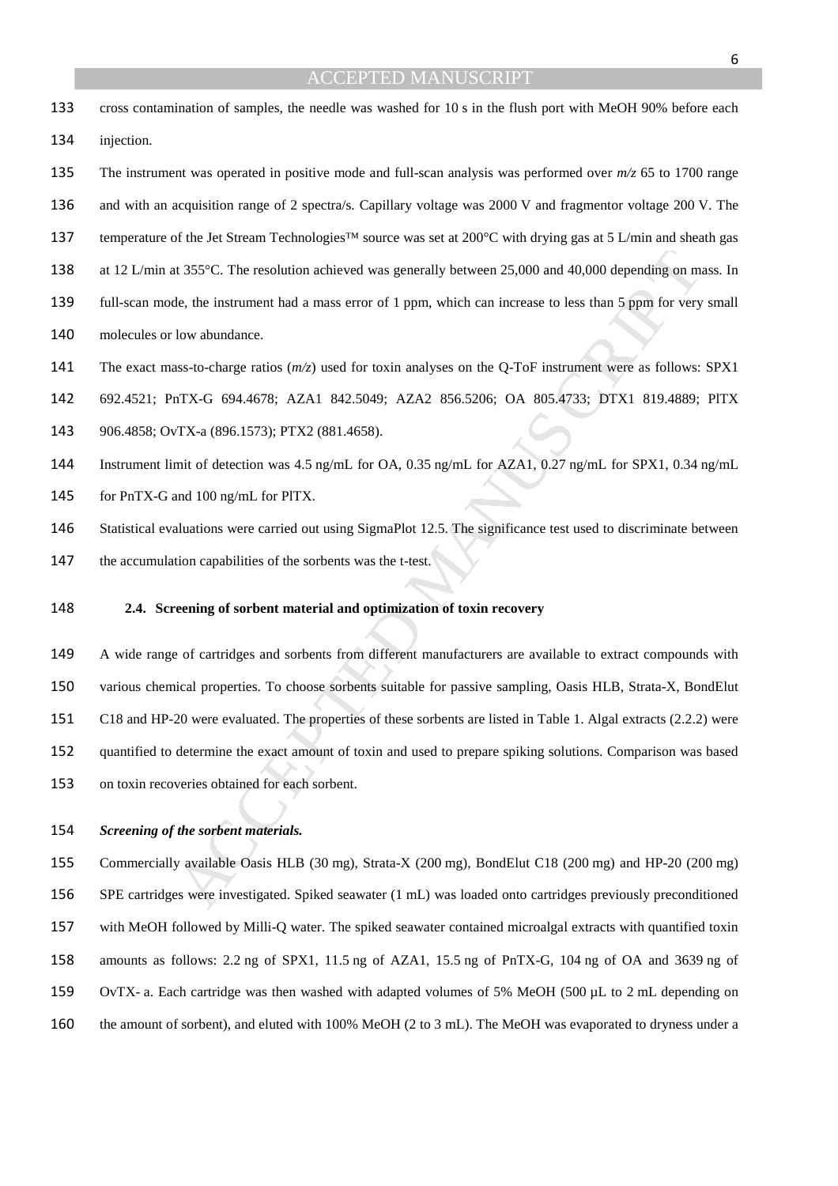- cross contamination of samples, the needle was washed for 10 s in the flush port with MeOH 90% before each injection.
- The instrument was operated in positive mode and full-scan analysis was performed over *m/z* 65 to 1700 range 136 and with an acquisition range of 2 spectra/s. Capillary voltage was 2000 V and fragmentor voltage 200 V. The temperature of the Jet Stream Technologies™ source was set at 200°C with drying gas at 5 L/min and sheath gas 138 at 12 L/min at 355°C. The resolution achieved was generally between 25,000 and 40,000 depending on mass. In full-scan mode, the instrument had a mass error of 1 ppm, which can increase to less than 5 ppm for very small
- molecules or low abundance.
- The exact mass-to-charge ratios (*m/z*) used for toxin analyses on the Q-ToF instrument were as follows: SPX1
- 692.4521; PnTX-G 694.4678; AZA1 842.5049; AZA2 856.5206; OA 805.4733; DTX1 819.4889; PlTX
- 906.4858; OvTX-a (896.1573); PTX2 (881.4658).
- Instrument limit of detection was 4.5 ng/mL for OA, 0.35 ng/mL for AZA1, 0.27 ng/mL for SPX1, 0.34 ng/mL
- for PnTX-G and 100 ng/mL for PlTX.
- Statistical evaluations were carried out using SigmaPlot 12.5. The significance test used to discriminate between
- the accumulation capabilities of the sorbents was the t-test.
- **2.4. Screening of sorbent material and optimization of toxin recovery**
- It 355°C. The resolution achieved was generally between 25.000 and 40,000 depending on m<br>
le, the instrument had a mass error of 1 ppm, which can increase to less than 5 ppm for very<br>
low abundance.<br>
1.88-to-charge ratios A wide range of cartridges and sorbents from different manufacturers are available to extract compounds with various chemical properties. To choose sorbents suitable for passive sampling, Oasis HLB, Strata-X, BondElut C18 and HP-20 were evaluated. The properties of these sorbents are listed in Table 1. Algal extracts (2.2.2) were quantified to determine the exact amount of toxin and used to prepare spiking solutions. Comparison was based on toxin recoveries obtained for each sorbent.

#### *Screening of the sorbent materials.*

Commercially available Oasis HLB (30 mg), Strata-X (200 mg), BondElut C18 (200 mg) and HP-20 (200 mg) SPE cartridges were investigated. Spiked seawater (1 mL) was loaded onto cartridges previously preconditioned with MeOH followed by Milli-Q water. The spiked seawater contained microalgal extracts with quantified toxin amounts as follows: 2.2 ng of SPX1, 11.5 ng of AZA1, 15.5 ng of PnTX-G, 104 ng of OA and 3639 ng of OvTX- a. Each cartridge was then washed with adapted volumes of 5% MeOH (500 µL to 2 mL depending on the amount of sorbent), and eluted with 100% MeOH (2 to 3 mL). The MeOH was evaporated to dryness under a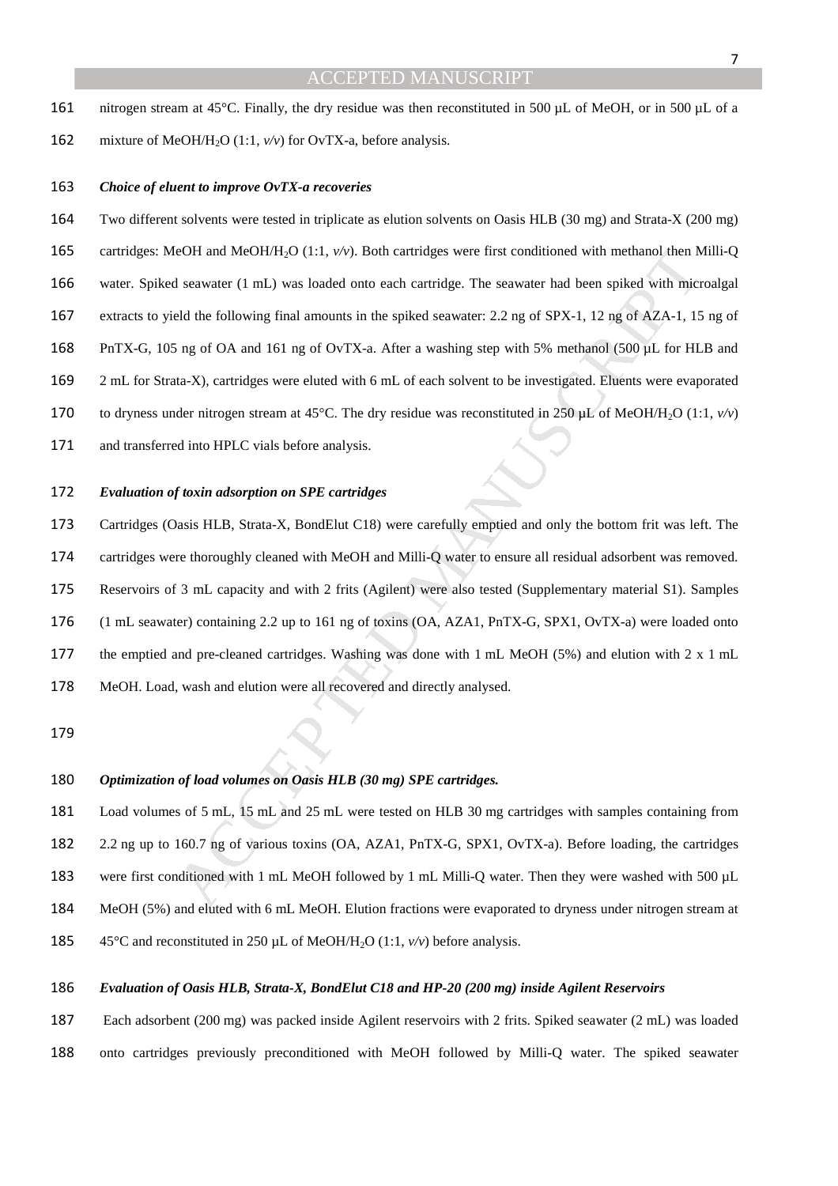- nitrogen stream at 45°C. Finally, the dry residue was then reconstituted in 500 µL of MeOH, or in 500 µL of a
- 162 mixture of MeOH/H<sub>2</sub>O (1:1,  $v/v$ ) for OvTX-a, before analysis.

#### *Choice of eluent to improve OvTX-a recoveries*

eOH and MeOH/H<sub>2</sub>O (1:1, v/v). Both cartridges were first conditioned with methanol then M<br>scawater (1 mL) was loaded onto each cartridge. The scawater had been spiked with microsofted the following final amounts in the sp Two different solvents were tested in triplicate as elution solvents on Oasis HLB (30 mg) and Strata-X (200 mg) 165 cartridges: MeOH and MeOH/H<sub>2</sub>O (1:1,  $v/v$ ). Both cartridges were first conditioned with methanol then Milli-Q water. Spiked seawater (1 mL) was loaded onto each cartridge. The seawater had been spiked with microalgal extracts to yield the following final amounts in the spiked seawater: 2.2 ng of SPX-1, 12 ng of AZA-1, 15 ng of PnTX-G, 105 ng of OA and 161 ng of OvTX-a. After a washing step with 5% methanol (500 µL for HLB and 2 mL for Strata-X), cartridges were eluted with 6 mL of each solvent to be investigated. Eluents were evaporated 170 to dryness under nitrogen stream at 45°C. The dry residue was reconstituted in 250 µL of MeOH/H<sub>2</sub>O (1:1,  $v/v$ ) and transferred into HPLC vials before analysis.

#### *Evaluation of toxin adsorption on SPE cartridges*

Cartridges (Oasis HLB, Strata-X, BondElut C18) were carefully emptied and only the bottom frit was left. The cartridges were thoroughly cleaned with MeOH and Milli-Q water to ensure all residual adsorbent was removed. Reservoirs of 3 mL capacity and with 2 frits (Agilent) were also tested (Supplementary material S1). Samples (1 mL seawater) containing 2.2 up to 161 ng of toxins (OA, AZA1, PnTX-G, SPX1, OvTX-a) were loaded onto the emptied and pre-cleaned cartridges. Washing was done with 1 mL MeOH (5%) and elution with 2 x 1 mL MeOH. Load, wash and elution were all recovered and directly analysed.

### *Optimization of load volumes on Oasis HLB (30 mg) SPE cartridges.*

Load volumes of 5 mL, 15 mL and 25 mL were tested on HLB 30 mg cartridges with samples containing from 2.2 ng up to 160.7 ng of various toxins (OA, AZA1, PnTX-G, SPX1, OvTX-a). Before loading, the cartridges were first conditioned with 1 mL MeOH followed by 1 mL Milli-Q water. Then they were washed with 500 µL MeOH (5%) and eluted with 6 mL MeOH. Elution fractions were evaporated to dryness under nitrogen stream at 45°C and reconstituted in 250 µL of MeOH/H2O (1:1, *v/v*) before analysis.

#### *Evaluation of Oasis HLB, Strata-X, BondElut C18 and HP-20 (200 mg) inside Agilent Reservoirs*

Each adsorbent (200 mg) was packed inside Agilent reservoirs with 2 frits. Spiked seawater (2 mL) was loaded onto cartridges previously preconditioned with MeOH followed by Milli-Q water. The spiked seawater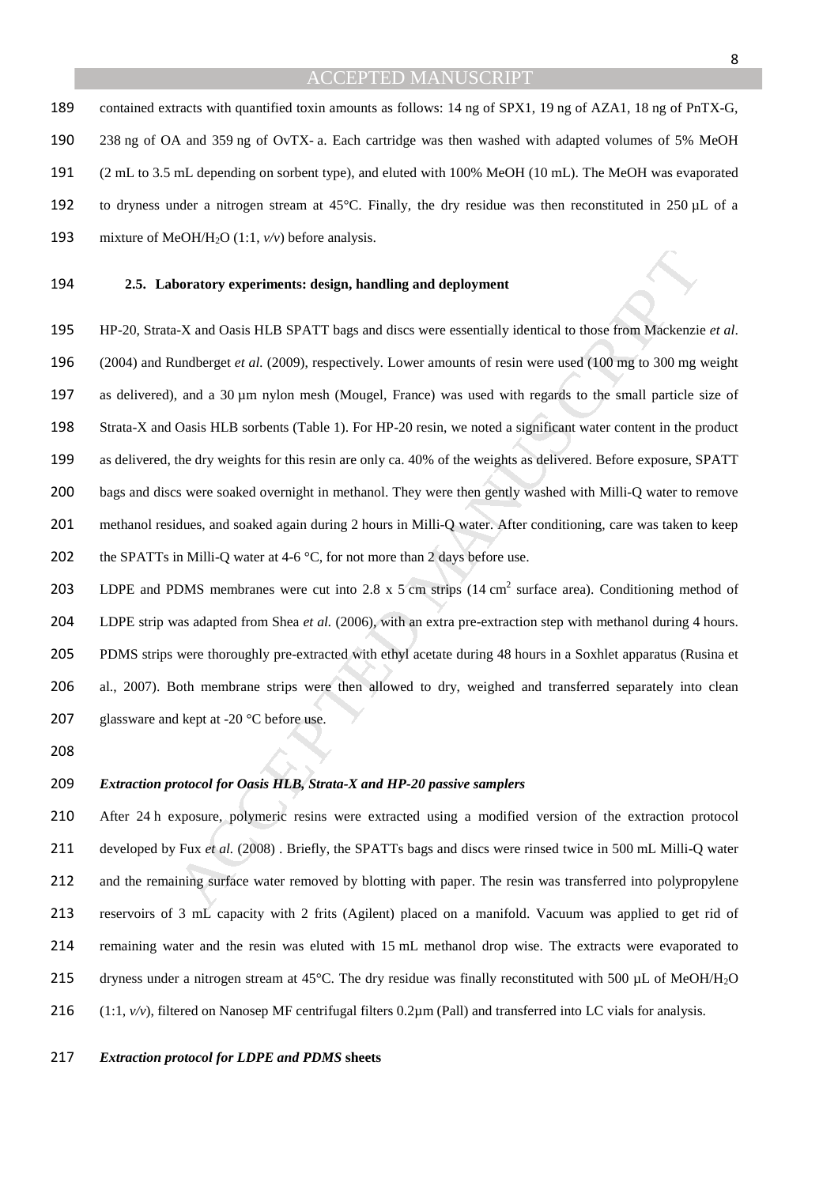contained extracts with quantified toxin amounts as follows: 14 ng of SPX1, 19 ng of AZA1, 18 ng of PnTX-G, 238 ng of OA and 359 ng of OvTX- a. Each cartridge was then washed with adapted volumes of 5% MeOH (2 mL to 3.5 mL depending on sorbent type), and eluted with 100% MeOH (10 mL). The MeOH was evaporated to dryness under a nitrogen stream at 45°C. Finally, the dry residue was then reconstituted in 250 µL of a 193 mixture of MeOH/H<sub>2</sub>O (1:1,  $v/v$ ) before analysis.

#### **2.5. Laboratory experiments: design, handling and deployment**

**boratory experiments: design, handling and deployment**<br>
N-X and Oasis HLB SPATT bags and discs were essentially identical to those from Mackenzic<br>
undberget et al. (2009), respectively. Lower amounts of resin were used ( HP-20, Strata-X and Oasis HLB SPATT bags and discs were essentially identical to those from Mackenzie *et al*. (2004) and Rundberget *et al.* (2009), respectively. Lower amounts of resin were used (100 mg to 300 mg weight as delivered), and a 30 µm nylon mesh (Mougel, France) was used with regards to the small particle size of Strata-X and Oasis HLB sorbents (Table 1). For HP-20 resin, we noted a significant water content in the product as delivered, the dry weights for this resin are only ca. 40% of the weights as delivered. Before exposure, SPATT bags and discs were soaked overnight in methanol. They were then gently washed with Milli-Q water to remove methanol residues, and soaked again during 2 hours in Milli-Q water. After conditioning, care was taken to keep 202 the SPATTs in Milli-Q water at 4-6  $\degree$ C, for not more than 2 days before use.

203 LDPE and PDMS membranes were cut into 2.8 x 5 cm strips  $(14 \text{ cm}^2 \text{ surface area})$ . Conditioning method of LDPE strip was adapted from Shea *et al.* (2006), with an extra pre-extraction step with methanol during 4 hours. 205 PDMS strips were thoroughly pre-extracted with ethyl acetate during 48 hours in a Soxhlet apparatus (Rusina et al., 2007). Both membrane strips were then allowed to dry, weighed and transferred separately into clean 207 glassware and kept at -20 °C before use.

#### *Extraction protocol for Oasis HLB, Strata-X and HP-20 passive samplers*

After 24 h exposure, polymeric resins were extracted using a modified version of the extraction protocol developed by Fux *et al.* (2008) . Briefly, the SPATTs bags and discs were rinsed twice in 500 mL Milli-Q water and the remaining surface water removed by blotting with paper. The resin was transferred into polypropylene reservoirs of 3 mL capacity with 2 frits (Agilent) placed on a manifold. Vacuum was applied to get rid of remaining water and the resin was eluted with 15 mL methanol drop wise. The extracts were evaporated to 215 dryness under a nitrogen stream at 45°C. The dry residue was finally reconstituted with 500 µL of MeOH/H<sub>2</sub>O  $(1:1, v/v)$ , filtered on Nanosep MF centrifugal filters 0.2 $\mu$ m (Pall) and transferred into LC vials for analysis.

#### *Extraction protocol for LDPE and PDMS* **sheets**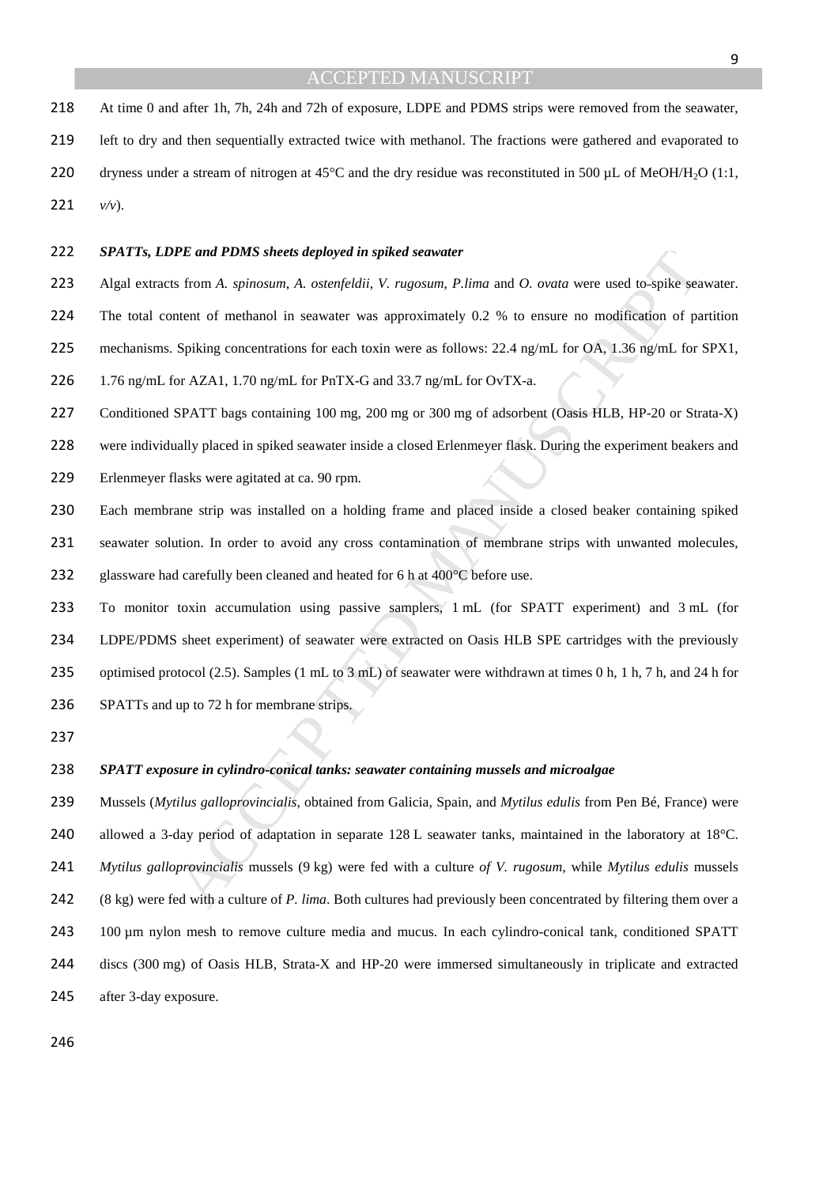At time 0 and after 1h, 7h, 24h and 72h of exposure, LDPE and PDMS strips were removed from the seawater, left to dry and then sequentially extracted twice with methanol. The fractions were gathered and evaporated to 220 dryness under a stream of nitrogen at 45°C and the dry residue was reconstituted in 500 µL of MeOH/H<sub>2</sub>O (1:1, 221  $v/v$ ).

#### *SPATTs, LDPE and PDMS sheets deployed in spiked seawater*

Algal extracts from *A. spinosum*, *A. ostenfeldii*, *V. rugosum*, *P.lima* and *O. ovata* were used to spike seawater.

The total content of methanol in seawater was approximately 0.2 % to ensure no modification of partition

mechanisms. Spiking concentrations for each toxin were as follows: 22.4 ng/mL for OA, 1.36 ng/mL for SPX1,

1.76 ng/mL for AZA1, 1.70 ng/mL for PnTX-G and 33.7 ng/mL for OvTX-a.

Conditioned SPATT bags containing 100 mg, 200 mg or 300 mg of adsorbent (Oasis HLB, HP-20 or Strata-X)

were individually placed in spiked seawater inside a closed Erlenmeyer flask. During the experiment beakers and

Erlenmeyer flasks were agitated at ca. 90 rpm.

Each membrane strip was installed on a holding frame and placed inside a closed beaker containing spiked seawater solution. In order to avoid any cross contamination of membrane strips with unwanted molecules, 232 glassware had carefully been cleaned and heated for 6 h at 400°C before use.

To monitor toxin accumulation using passive samplers, 1 mL (for SPATT experiment) and 3 mL (for LDPE/PDMS sheet experiment) of seawater were extracted on Oasis HLB SPE cartridges with the previously optimised protocol (2.5). Samples (1 mL to 3 mL) of seawater were withdrawn at times 0 h, 1 h, 7 h, and 24 h for SPATTs and up to 72 h for membrane strips.

#### *SPATT exposure in cylindro-conical tanks: seawater containing mussels and microalgae*

**PE and PDMS sheets deployed in spiked seawater**<br>
If from A. spinosum, A. ostenfeldii, V. rugosum, P.lima and O. ovata were used to-spike sea<br>
tent of methanol in seawater was approximately 0.2 % to ensure no modification Mussels (*Mytilus galloprovincialis*, obtained from Galicia, Spain, and *Mytilus edulis* from Pen Bé, France) were 240 allowed a 3-day period of adaptation in separate 128 L seawater tanks, maintained in the laboratory at 18°C. *Mytilus galloprovincialis* mussels (9 kg) were fed with a culture *of V. rugosum,* while *Mytilus edulis* mussels (8 kg) were fed with a culture of *P. lima*. Both cultures had previously been concentrated by filtering them over a 243 100 µm nylon mesh to remove culture media and mucus. In each cylindro-conical tank, conditioned SPATT discs (300 mg) of Oasis HLB, Strata-X and HP-20 were immersed simultaneously in triplicate and extracted after 3-day exposure.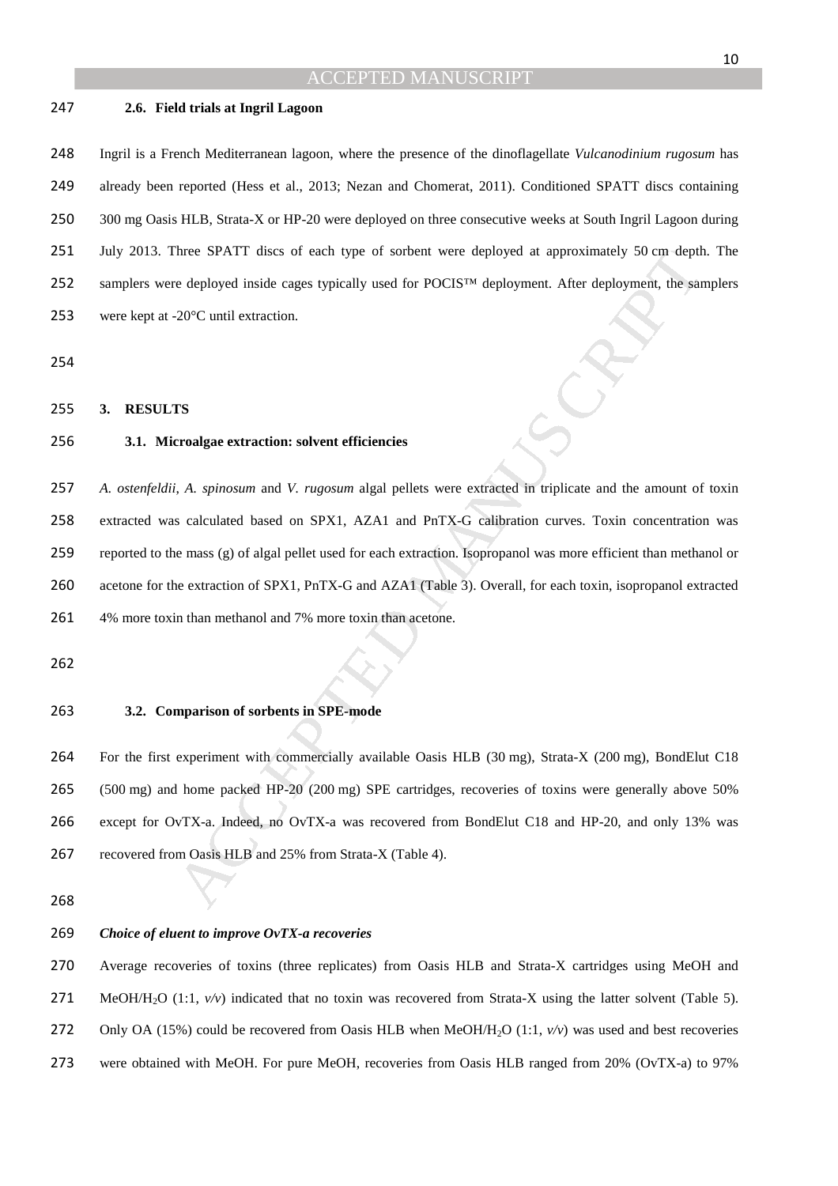#### **2.6. Field trials at Ingril Lagoon**

Ingril is a French Mediterranean lagoon, where the presence of the dinoflagellate *Vulcanodinium rugosum* has already been reported (Hess et al., 2013; Nezan and Chomerat, 2011). Conditioned SPATT discs containing 300 mg Oasis HLB, Strata-X or HP-20 were deployed on three consecutive weeks at South Ingril Lagoon during July 2013. Three SPATT discs of each type of sorbent were deployed at approximately 50 cm depth. The samplers were deployed inside cages typically used for POCIS™ deployment. After deployment, the samplers 253 were kept at -20°C until extraction.

#### **3. RESULTS**

## **3.1. Microalgae extraction: solvent efficiencies**

Three SPATT discs of each type of sorbent were deployed at approximately 50 cm deptod the deployed inside cages typically used for POCIS<sup>TM</sup> deployment. After deployment, the sate 20°C until extraction.<br>
TS<br>
TS<br>
TS<br>
TS<br>
TS *A. ostenfeldii*, *A. spinosum* and *V. rugosum* algal pellets were extracted in triplicate and the amount of toxin extracted was calculated based on SPX1, AZA1 and PnTX-G calibration curves. Toxin concentration was reported to the mass (g) of algal pellet used for each extraction. Isopropanol was more efficient than methanol or acetone for the extraction of SPX1, PnTX-G and AZA1 (Table 3). Overall, for each toxin, isopropanol extracted 4% more toxin than methanol and 7% more toxin than acetone.

**3.2. Comparison of sorbents in SPE-mode** 

For the first experiment with commercially available Oasis HLB (30 mg), Strata-X (200 mg), BondElut C18 (500 mg) and home packed HP-20 (200 mg) SPE cartridges, recoveries of toxins were generally above 50% except for OvTX-a. Indeed, no OvTX-a was recovered from BondElut C18 and HP-20, and only 13% was 267 recovered from Oasis HLB and 25% from Strata-X (Table 4).

#### *Choice of eluent to improve OvTX-a recoveries*

Average recoveries of toxins (three replicates) from Oasis HLB and Strata-X cartridges using MeOH and 271 MeOH/H<sub>2</sub>O (1:1, *v/v*) indicated that no toxin was recovered from Strata-X using the latter solvent (Table 5). 272 Only OA (15%) could be recovered from Oasis HLB when MeOH/H<sub>2</sub>O (1:1,  $v/v$ ) was used and best recoveries were obtained with MeOH. For pure MeOH, recoveries from Oasis HLB ranged from 20% (OvTX-a) to 97%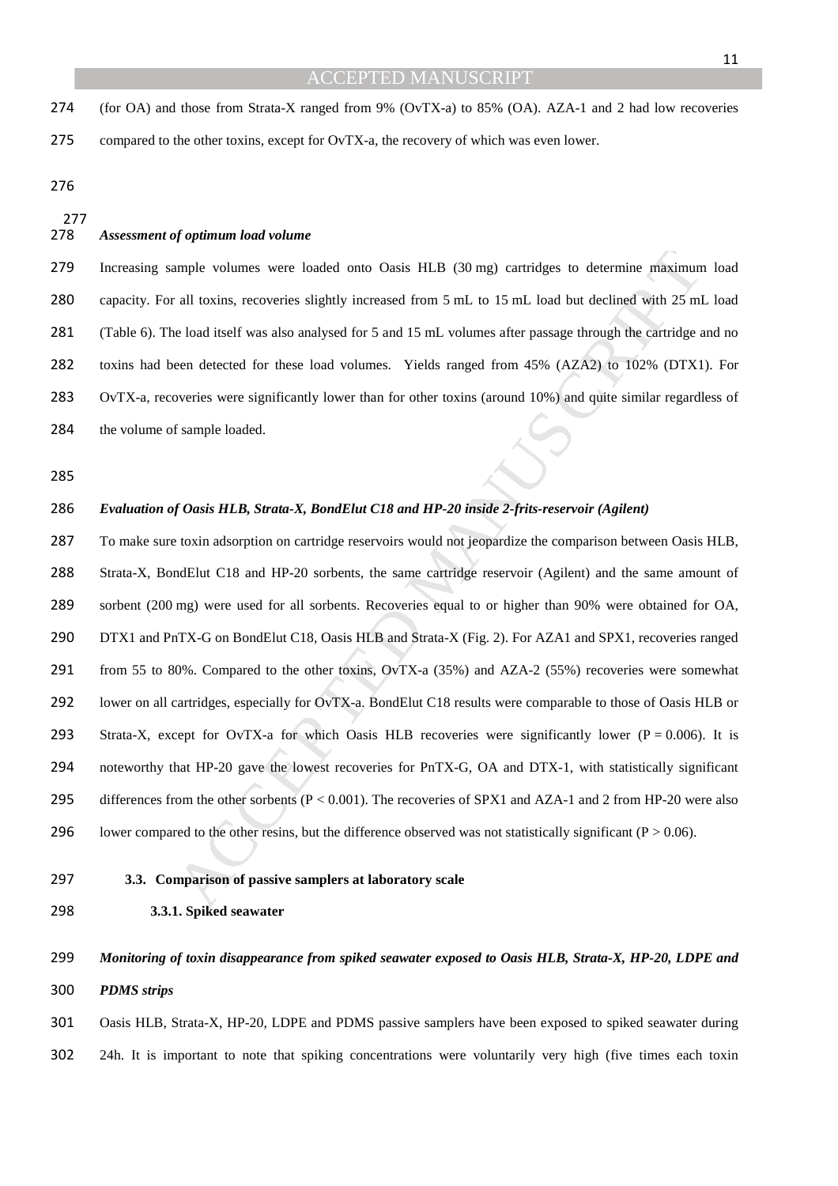(for OA) and those from Strata-X ranged from 9% (OvTX-a) to 85% (OA). AZA-1 and 2 had low recoveries compared to the other toxins, except for OvTX-a, the recovery of which was even lower.

*Assessment of optimum load volume* 

Increasing sample volumes were loaded onto Oasis HLB (30 mg) cartridges to determine maximum load capacity. For all toxins, recoveries slightly increased from 5 mL to 15 mL load but declined with 25 mL load (Table 6). The load itself was also analysed for 5 and 15 mL volumes after passage through the cartridge and no toxins had been detected for these load volumes. Yields ranged from 45% (AZA2) to 102% (DTX1). For OvTX-a, recoveries were significantly lower than for other toxins (around 10%) and quite similar regardless of the volume of sample loaded.

#### *Evaluation of Oasis HLB, Strata-X, BondElut C18 and HP-20 inside 2-frits-reservoir (Agilent)*

umple volumes were loaded onto Oasis HLB (30 mg) carridges to determine maximun<br>all toxins, recoveries slightly increased from 5 mL to 15 mL load but declined with 25 ml<br>cloud itself was also analysed for 5 and 15 mL volu To make sure toxin adsorption on cartridge reservoirs would not jeopardize the comparison between Oasis HLB, Strata-X, BondElut C18 and HP-20 sorbents, the same cartridge reservoir (Agilent) and the same amount of sorbent (200 mg) were used for all sorbents. Recoveries equal to or higher than 90% were obtained for OA, DTX1 and PnTX-G on BondElut C18, Oasis HLB and Strata-X (Fig. 2). For AZA1 and SPX1, recoveries ranged from 55 to 80%. Compared to the other toxins, OvTX-a (35%) and AZA-2 (55%) recoveries were somewhat lower on all cartridges, especially for OvTX-a. BondElut C18 results were comparable to those of Oasis HLB or 293 Strata-X, except for OvTX-a for which Oasis HLB recoveries were significantly lower ( $P = 0.006$ ). It is noteworthy that HP-20 gave the lowest recoveries for PnTX-G, OA and DTX-1, with statistically significant 295 differences from the other sorbents (P < 0.001). The recoveries of SPX1 and AZA-1 and 2 from HP-20 were also 296 lower compared to the other resins, but the difference observed was not statistically significant ( $P > 0.06$ ).

#### **3.3. Comparison of passive samplers at laboratory scale**

**3.3.1. Spiked seawater** 

# *Monitoring of toxin disappearance from spiked seawater exposed to Oasis HLB, Strata-X, HP-20, LDPE and PDMS strips*

Oasis HLB, Strata-X, HP-20, LDPE and PDMS passive samplers have been exposed to spiked seawater during 24h. It is important to note that spiking concentrations were voluntarily very high (five times each toxin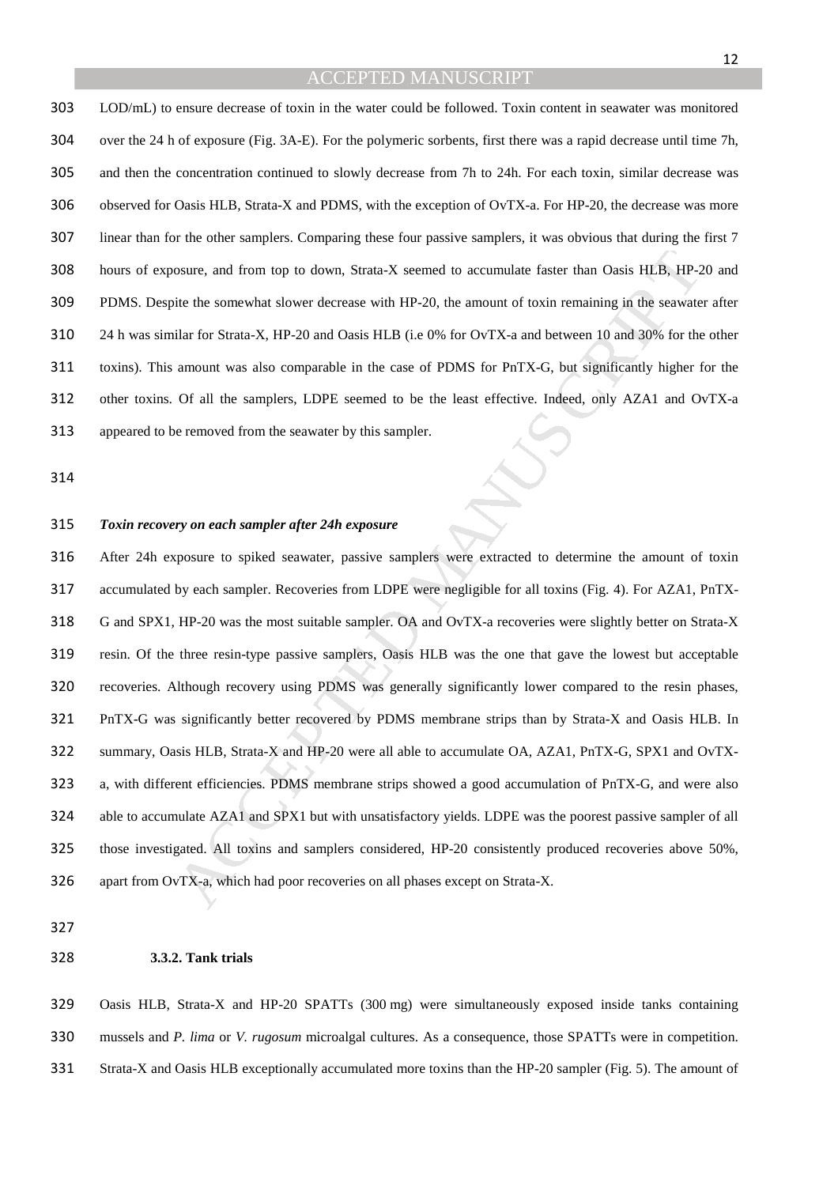LOD/mL) to ensure decrease of toxin in the water could be followed. Toxin content in seawater was monitored over the 24 h of exposure (Fig. 3A-E). For the polymeric sorbents, first there was a rapid decrease until time 7h, and then the concentration continued to slowly decrease from 7h to 24h. For each toxin, similar decrease was observed for Oasis HLB, Strata-X and PDMS, with the exception of OvTX-a. For HP-20, the decrease was more linear than for the other samplers. Comparing these four passive samplers, it was obvious that during the first 7 hours of exposure, and from top to down, Strata-X seemed to accumulate faster than Oasis HLB, HP-20 and PDMS. Despite the somewhat slower decrease with HP-20, the amount of toxin remaining in the seawater after 24 h was similar for Strata-X, HP-20 and Oasis HLB (i.e 0% for OvTX-a and between 10 and 30% for the other toxins). This amount was also comparable in the case of PDMS for PnTX-G, but significantly higher for the other toxins. Of all the samplers, LDPE seemed to be the least effective. Indeed, only AZA1 and OvTX-a appeared to be removed from the seawater by this sampler.

#### *Toxin recovery on each sampler after 24h exposure*

osure, and from top to down. Strata-X scened to accumulate faster than Oasis HLB, HP-2<br>ite the somewhat slower decrease with HP-20, the amount of toxin remaining in the seawate<br>ilar for Strata-X, HP-20 and Oasis HLB (i.e 0 After 24h exposure to spiked seawater, passive samplers were extracted to determine the amount of toxin accumulated by each sampler. Recoveries from LDPE were negligible for all toxins (Fig. 4). For AZA1, PnTX-G and SPX1, HP-20 was the most suitable sampler. OA and OvTX-a recoveries were slightly better on Strata-X resin. Of the three resin-type passive samplers, Oasis HLB was the one that gave the lowest but acceptable recoveries. Although recovery using PDMS was generally significantly lower compared to the resin phases, PnTX-G was significantly better recovered by PDMS membrane strips than by Strata-X and Oasis HLB. In summary, Oasis HLB, Strata-X and HP-20 were all able to accumulate OA, AZA1, PnTX-G, SPX1 and OvTX-a, with different efficiencies. PDMS membrane strips showed a good accumulation of PnTX-G, and were also able to accumulate AZA1 and SPX1 but with unsatisfactory yields. LDPE was the poorest passive sampler of all those investigated. All toxins and samplers considered, HP-20 consistently produced recoveries above 50%, apart from OvTX-a, which had poor recoveries on all phases except on Strata-X.

#### **3.3.2. Tank trials**

Oasis HLB, Strata-X and HP-20 SPATTs (300 mg) were simultaneously exposed inside tanks containing mussels and *P. lima* or *V. rugosum* microalgal cultures. As a consequence, those SPATTs were in competition. Strata-X and Oasis HLB exceptionally accumulated more toxins than the HP-20 sampler (Fig. 5). The amount of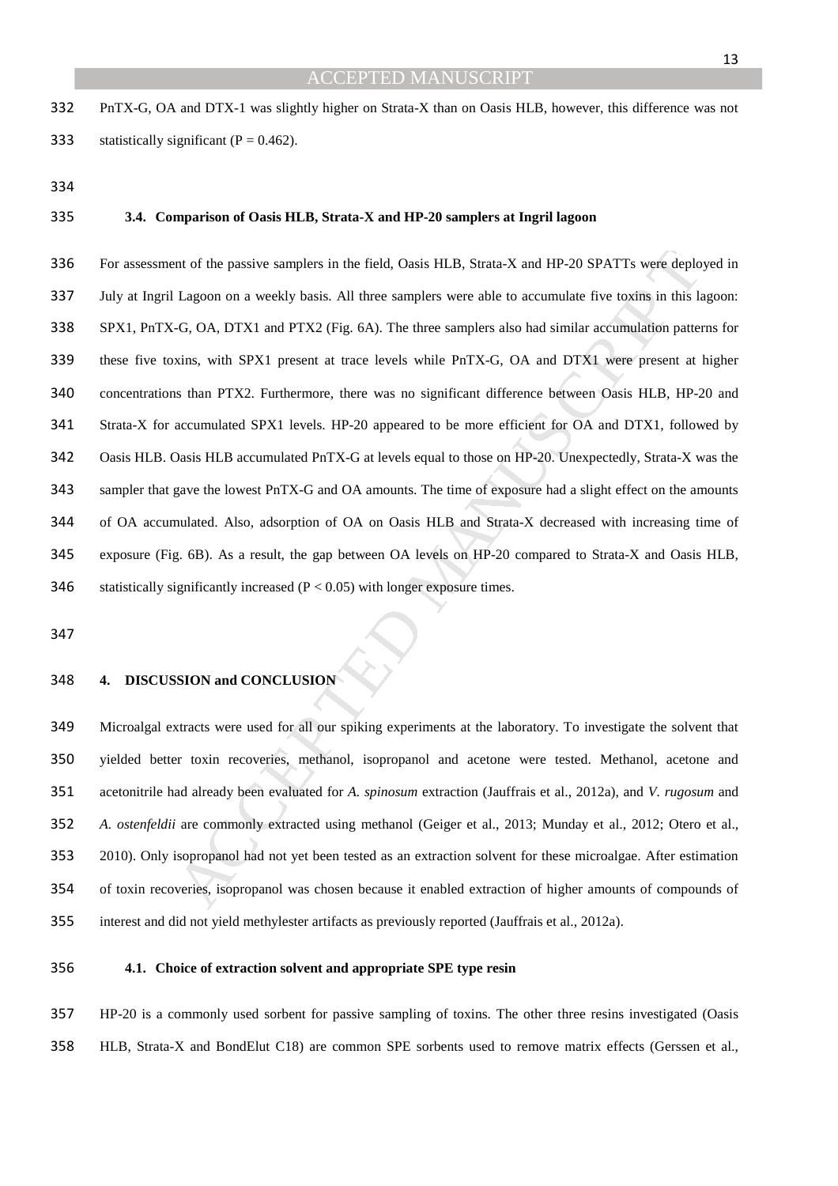PnTX-G, OA and DTX-1 was slightly higher on Strata-X than on Oasis HLB, however, this difference was not 333 statistically significant ( $P = 0.462$ ).

#### **3.4. Comparison of Oasis HLB, Strata-X and HP-20 samplers at Ingril lagoon**

mt of the passive samplers in the field, Oasis HLB, Strata-X and HP-20 SPATTs were deplo<br>Lagoon on a weekly basis. All three samplers were able to accumulate five toxins in this i.<br>G. OA, DTX1 and PTX2 (Fig. 6A). The thre For assessment of the passive samplers in the field, Oasis HLB, Strata-X and HP-20 SPATTs were deployed in July at Ingril Lagoon on a weekly basis. All three samplers were able to accumulate five toxins in this lagoon: SPX1, PnTX-G, OA, DTX1 and PTX2 (Fig. 6A). The three samplers also had similar accumulation patterns for these five toxins, with SPX1 present at trace levels while PnTX-G, OA and DTX1 were present at higher concentrations than PTX2. Furthermore, there was no significant difference between Oasis HLB, HP-20 and Strata-X for accumulated SPX1 levels. HP-20 appeared to be more efficient for OA and DTX1, followed by Oasis HLB. Oasis HLB accumulated PnTX-G at levels equal to those on HP-20. Unexpectedly, Strata-X was the sampler that gave the lowest PnTX-G and OA amounts. The time of exposure had a slight effect on the amounts of OA accumulated. Also, adsorption of OA on Oasis HLB and Strata-X decreased with increasing time of exposure (Fig. 6B). As a result, the gap between OA levels on HP-20 compared to Strata-X and Oasis HLB, 346 statistically significantly increased  $(P < 0.05)$  with longer exposure times.

#### **4. DISCUSSION and CONCLUSION**

Microalgal extracts were used for all our spiking experiments at the laboratory. To investigate the solvent that yielded better toxin recoveries, methanol, isopropanol and acetone were tested. Methanol, acetone and acetonitrile had already been evaluated for *A. spinosum* extraction (Jauffrais et al., 2012a), and *V. rugosum* and *A. ostenfeldii* are commonly extracted using methanol (Geiger et al., 2013; Munday et al., 2012; Otero et al., 2010). Only isopropanol had not yet been tested as an extraction solvent for these microalgae. After estimation of toxin recoveries, isopropanol was chosen because it enabled extraction of higher amounts of compounds of interest and did not yield methylester artifacts as previously reported (Jauffrais et al., 2012a).

#### **4.1. Choice of extraction solvent and appropriate SPE type resin**

HP-20 is a commonly used sorbent for passive sampling of toxins. The other three resins investigated (Oasis HLB, Strata-X and BondElut C18) are common SPE sorbents used to remove matrix effects (Gerssen et al.,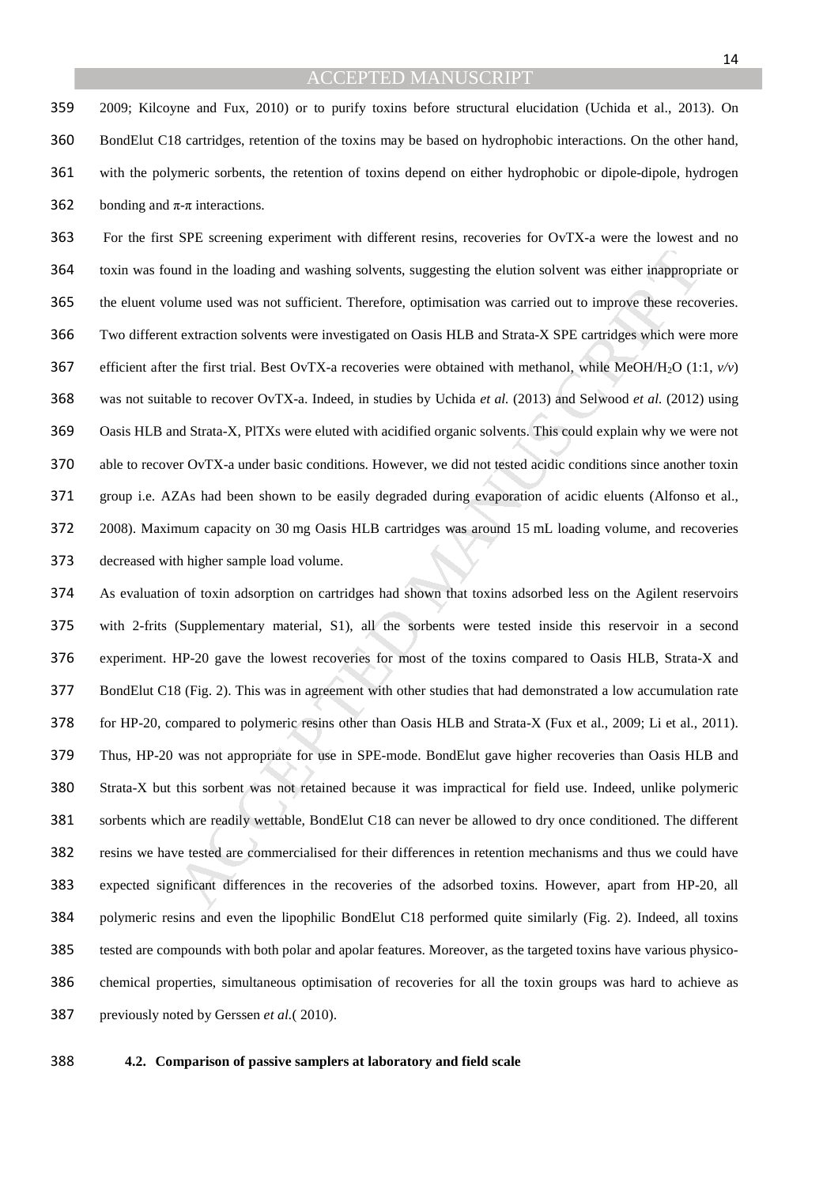2009; Kilcoyne and Fux, 2010) or to purify toxins before structural elucidation (Uchida et al., 2013). On BondElut C18 cartridges, retention of the toxins may be based on hydrophobic interactions. On the other hand, with the polymeric sorbents, the retention of toxins depend on either hydrophobic or dipole-dipole, hydrogen 362 bonding and  $\pi$ - $\pi$  interactions.

and in the loading and washing solvents, suggesting the elution solvent was either inappropr<br>
lume used was not sufficient. Therefore, optimisation was carried out to improve these recor<br>
et extraction solvents were invest For the first SPE screening experiment with different resins, recoveries for OvTX-a were the lowest and no toxin was found in the loading and washing solvents, suggesting the elution solvent was either inappropriate or the eluent volume used was not sufficient. Therefore, optimisation was carried out to improve these recoveries. Two different extraction solvents were investigated on Oasis HLB and Strata-X SPE cartridges which were more 367 efficient after the first trial. Best OvTX-a recoveries were obtained with methanol, while MeOH/H<sub>2</sub>O (1:1,  $v/v$ ) was not suitable to recover OvTX-a. Indeed, in studies by Uchida *et al.* (2013) and Selwood *et al.* (2012) using Oasis HLB and Strata-X, PlTXs were eluted with acidified organic solvents. This could explain why we were not able to recover OvTX-a under basic conditions. However, we did not tested acidic conditions since another toxin group i.e. AZAs had been shown to be easily degraded during evaporation of acidic eluents (Alfonso et al., 2008). Maximum capacity on 30 mg Oasis HLB cartridges was around 15 mL loading volume, and recoveries decreased with higher sample load volume.

As evaluation of toxin adsorption on cartridges had shown that toxins adsorbed less on the Agilent reservoirs with 2-frits (Supplementary material, S1), all the sorbents were tested inside this reservoir in a second experiment. HP-20 gave the lowest recoveries for most of the toxins compared to Oasis HLB, Strata-X and BondElut C18 (Fig. 2). This was in agreement with other studies that had demonstrated a low accumulation rate for HP-20, compared to polymeric resins other than Oasis HLB and Strata-X (Fux et al., 2009; Li et al., 2011). Thus, HP-20 was not appropriate for use in SPE-mode. BondElut gave higher recoveries than Oasis HLB and Strata-X but this sorbent was not retained because it was impractical for field use. Indeed, unlike polymeric sorbents which are readily wettable, BondElut C18 can never be allowed to dry once conditioned. The different resins we have tested are commercialised for their differences in retention mechanisms and thus we could have expected significant differences in the recoveries of the adsorbed toxins. However, apart from HP-20, all polymeric resins and even the lipophilic BondElut C18 performed quite similarly (Fig. 2). Indeed, all toxins tested are compounds with both polar and apolar features. Moreover, as the targeted toxins have various physico-chemical properties, simultaneous optimisation of recoveries for all the toxin groups was hard to achieve as previously noted by Gerssen *et al.*( 2010).

**4.2. Comparison of passive samplers at laboratory and field scale**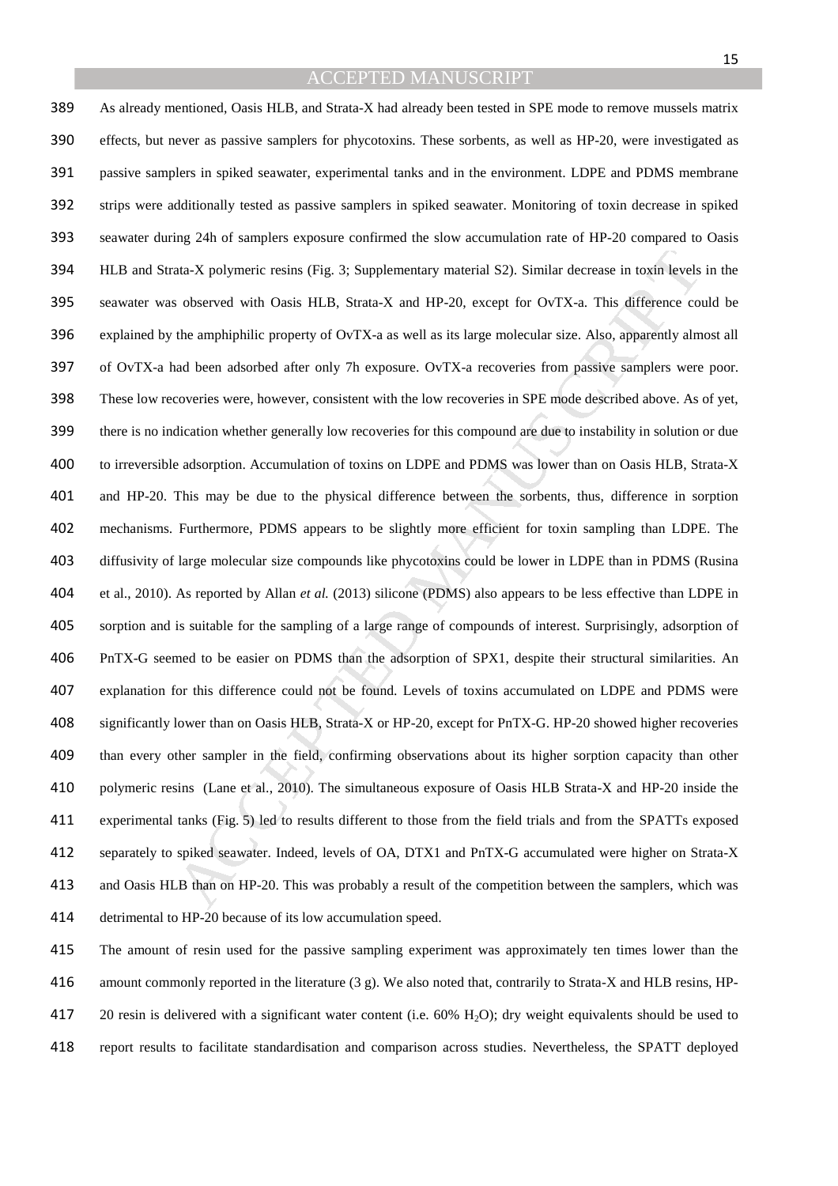ata-X polymeric resins (Fig. 3; Supplementary material S2). Similar decrease in toxin levels<br>
sobserved with Oasis HLB, Strata-X and HP-20, except for OvTX-a. This difference co<br>
the amphiphilic property of OvTX-a as well As already mentioned, Oasis HLB, and Strata-X had already been tested in SPE mode to remove mussels matrix effects, but never as passive samplers for phycotoxins. These sorbents, as well as HP-20, were investigated as passive samplers in spiked seawater, experimental tanks and in the environment. LDPE and PDMS membrane strips were additionally tested as passive samplers in spiked seawater. Monitoring of toxin decrease in spiked seawater during 24h of samplers exposure confirmed the slow accumulation rate of HP-20 compared to Oasis HLB and Strata-X polymeric resins (Fig. 3; Supplementary material S2). Similar decrease in toxin levels in the seawater was observed with Oasis HLB, Strata-X and HP-20, except for OvTX-a. This difference could be explained by the amphiphilic property of OvTX-a as well as its large molecular size. Also, apparently almost all of OvTX-a had been adsorbed after only 7h exposure. OvTX-a recoveries from passive samplers were poor. These low recoveries were, however, consistent with the low recoveries in SPE mode described above. As of yet, there is no indication whether generally low recoveries for this compound are due to instability in solution or due to irreversible adsorption. Accumulation of toxins on LDPE and PDMS was lower than on Oasis HLB, Strata-X and HP-20. This may be due to the physical difference between the sorbents, thus, difference in sorption mechanisms. Furthermore, PDMS appears to be slightly more efficient for toxin sampling than LDPE. The diffusivity of large molecular size compounds like phycotoxins could be lower in LDPE than in PDMS (Rusina et al., 2010). As reported by Allan *et al.* (2013) silicone (PDMS) also appears to be less effective than LDPE in sorption and is suitable for the sampling of a large range of compounds of interest. Surprisingly, adsorption of PnTX-G seemed to be easier on PDMS than the adsorption of SPX1, despite their structural similarities. An explanation for this difference could not be found. Levels of toxins accumulated on LDPE and PDMS were significantly lower than on Oasis HLB, Strata-X or HP-20, except for PnTX-G. HP-20 showed higher recoveries than every other sampler in the field, confirming observations about its higher sorption capacity than other polymeric resins (Lane et al., 2010). The simultaneous exposure of Oasis HLB Strata-X and HP-20 inside the experimental tanks (Fig. 5) led to results different to those from the field trials and from the SPATTs exposed separately to spiked seawater. Indeed, levels of OA, DTX1 and PnTX-G accumulated were higher on Strata-X and Oasis HLB than on HP-20. This was probably a result of the competition between the samplers, which was detrimental to HP-20 because of its low accumulation speed.

The amount of resin used for the passive sampling experiment was approximately ten times lower than the amount commonly reported in the literature (3 g). We also noted that, contrarily to Strata-X and HLB resins, HP-417 20 resin is delivered with a significant water content (i.e. 60% H<sub>2</sub>O); dry weight equivalents should be used to report results to facilitate standardisation and comparison across studies. Nevertheless, the SPATT deployed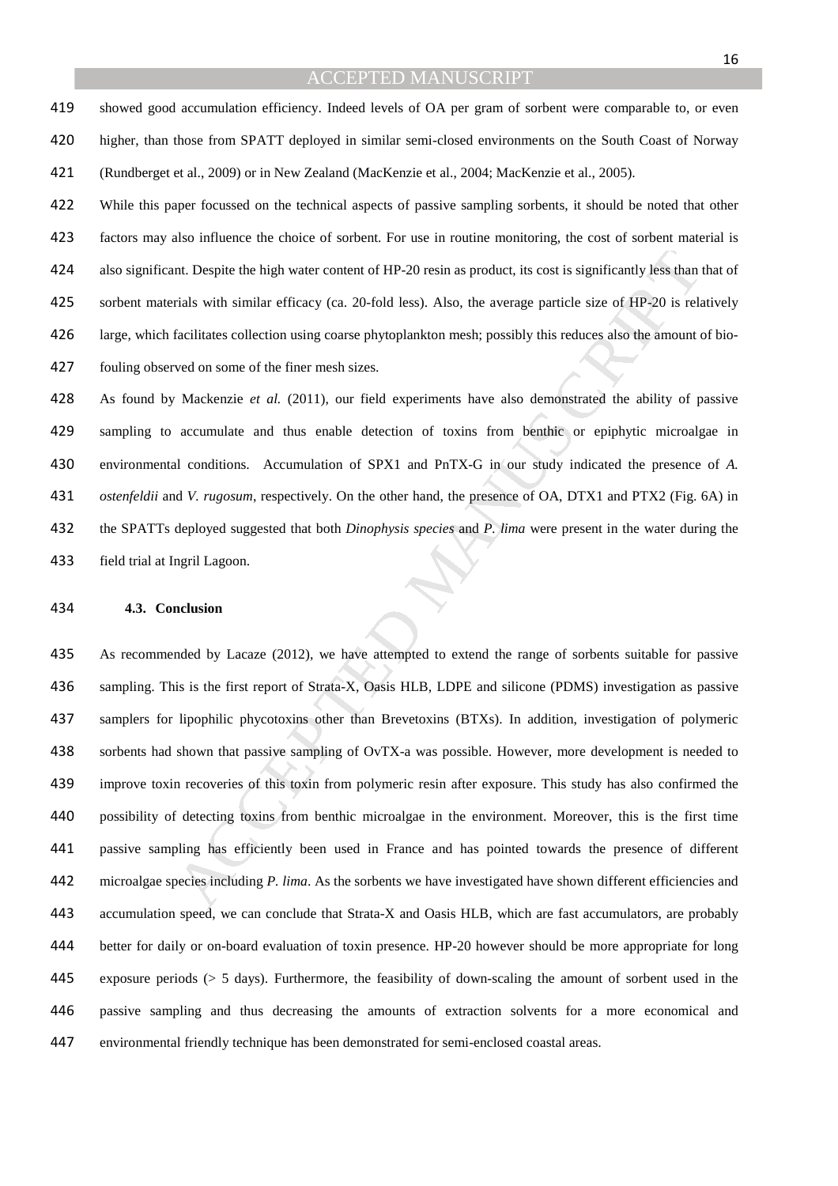showed good accumulation efficiency. Indeed levels of OA per gram of sorbent were comparable to, or even higher, than those from SPATT deployed in similar semi-closed environments on the South Coast of Norway (Rundberget et al., 2009) or in New Zealand (MacKenzie et al., 2004; MacKenzie et al., 2005).

While this paper focussed on the technical aspects of passive sampling sorbents, it should be noted that other factors may also influence the choice of sorbent. For use in routine monitoring, the cost of sorbent material is also significant. Despite the high water content of HP-20 resin as product, its cost is significantly less than that of sorbent materials with similar efficacy (ca. 20-fold less). Also, the average particle size of HP-20 is relatively large, which facilitates collection using coarse phytoplankton mesh; possibly this reduces also the amount of bio-fouling observed on some of the finer mesh sizes.

As found by Mackenzie *et al.* (2011), our field experiments have also demonstrated the ability of passive sampling to accumulate and thus enable detection of toxins from benthic or epiphytic microalgae in environmental conditions. Accumulation of SPX1 and PnTX-G in our study indicated the presence of *A. ostenfeldii* and *V. rugosum*, respectively. On the other hand, the presence of OA, DTX1 and PTX2 (Fig. 6A) in the SPATTs deployed suggested that both *Dinophysis species* and *P. lima* were present in the water during the field trial at Ingril Lagoon.

#### **4.3. Conclusion**

and Despite the high water content of HP-20 resin as product, its cost is significantly less than<br>
rials with similar efficacy (ca. 20-fold less). Also, the average particle size of HP-20 is related<br>
flacilitates collecti As recommended by Lacaze (2012), we have attempted to extend the range of sorbents suitable for passive sampling. This is the first report of Strata-X, Oasis HLB, LDPE and silicone (PDMS) investigation as passive samplers for lipophilic phycotoxins other than Brevetoxins (BTXs). In addition, investigation of polymeric sorbents had shown that passive sampling of OvTX-a was possible. However, more development is needed to improve toxin recoveries of this toxin from polymeric resin after exposure. This study has also confirmed the possibility of detecting toxins from benthic microalgae in the environment. Moreover, this is the first time passive sampling has efficiently been used in France and has pointed towards the presence of different microalgae species including *P. lima*. As the sorbents we have investigated have shown different efficiencies and accumulation speed, we can conclude that Strata-X and Oasis HLB, which are fast accumulators, are probably better for daily or on-board evaluation of toxin presence. HP-20 however should be more appropriate for long exposure periods (> 5 days). Furthermore, the feasibility of down-scaling the amount of sorbent used in the passive sampling and thus decreasing the amounts of extraction solvents for a more economical and environmental friendly technique has been demonstrated for semi-enclosed coastal areas.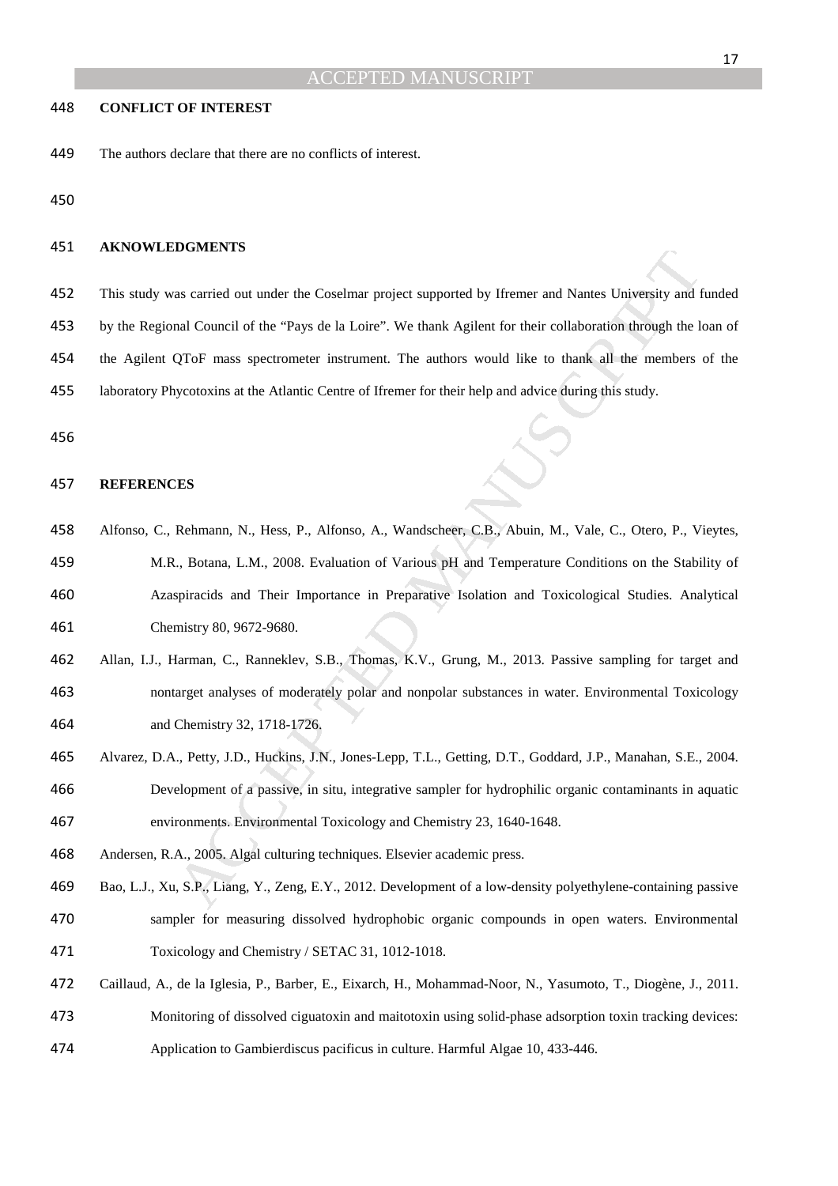#### **CONFLICT OF INTEREST**

The authors declare that there are no conflicts of interest.

#### **AKNOWLEDGMENTS**

- This study was carried out under the Coselmar project supported by Ifremer and Nantes University and funded
- by the Regional Council of the "Pays de la Loire". We thank Agilent for their collaboration through the loan of
- the Agilent QToF mass spectrometer instrument. The authors would like to thank all the members of the
- laboratory Phycotoxins at the Atlantic Centre of Ifremer for their help and advice during this study.

#### **REFERENCES**

- **DUSPLENTS**<br>
as carried out under the Coselmar project supported by Ifremer and Nantes University and I<br>
and Council of the "Pays de la Loire". We thank Agilent for their collaboration through the IQToF mass spectrometer i Alfonso, C., Rehmann, N., Hess, P., Alfonso, A., Wandscheer, C.B., Abuin, M., Vale, C., Otero, P., Vieytes, M.R., Botana, L.M., 2008. Evaluation of Various pH and Temperature Conditions on the Stability of Azaspiracids and Their Importance in Preparative Isolation and Toxicological Studies. Analytical Chemistry 80, 9672-9680.
- Allan, I.J., Harman, C., Ranneklev, S.B., Thomas, K.V., Grung, M., 2013. Passive sampling for target and nontarget analyses of moderately polar and nonpolar substances in water. Environmental Toxicology and Chemistry 32, 1718-1726.
- Alvarez, D.A., Petty, J.D., Huckins, J.N., Jones-Lepp, T.L., Getting, D.T., Goddard, J.P., Manahan, S.E., 2004. Development of a passive, in situ, integrative sampler for hydrophilic organic contaminants in aquatic environments. Environmental Toxicology and Chemistry 23, 1640-1648.
- Andersen, R.A., 2005. Algal culturing techniques. Elsevier academic press.
- Bao, L.J., Xu, S.P., Liang, Y., Zeng, E.Y., 2012. Development of a low-density polyethylene-containing passive sampler for measuring dissolved hydrophobic organic compounds in open waters. Environmental Toxicology and Chemistry / SETAC 31, 1012-1018.
- Caillaud, A., de la Iglesia, P., Barber, E., Eixarch, H., Mohammad-Noor, N., Yasumoto, T., Diogène, J., 2011. Monitoring of dissolved ciguatoxin and maitotoxin using solid-phase adsorption toxin tracking devices:
- Application to Gambierdiscus pacificus in culture. Harmful Algae 10, 433-446.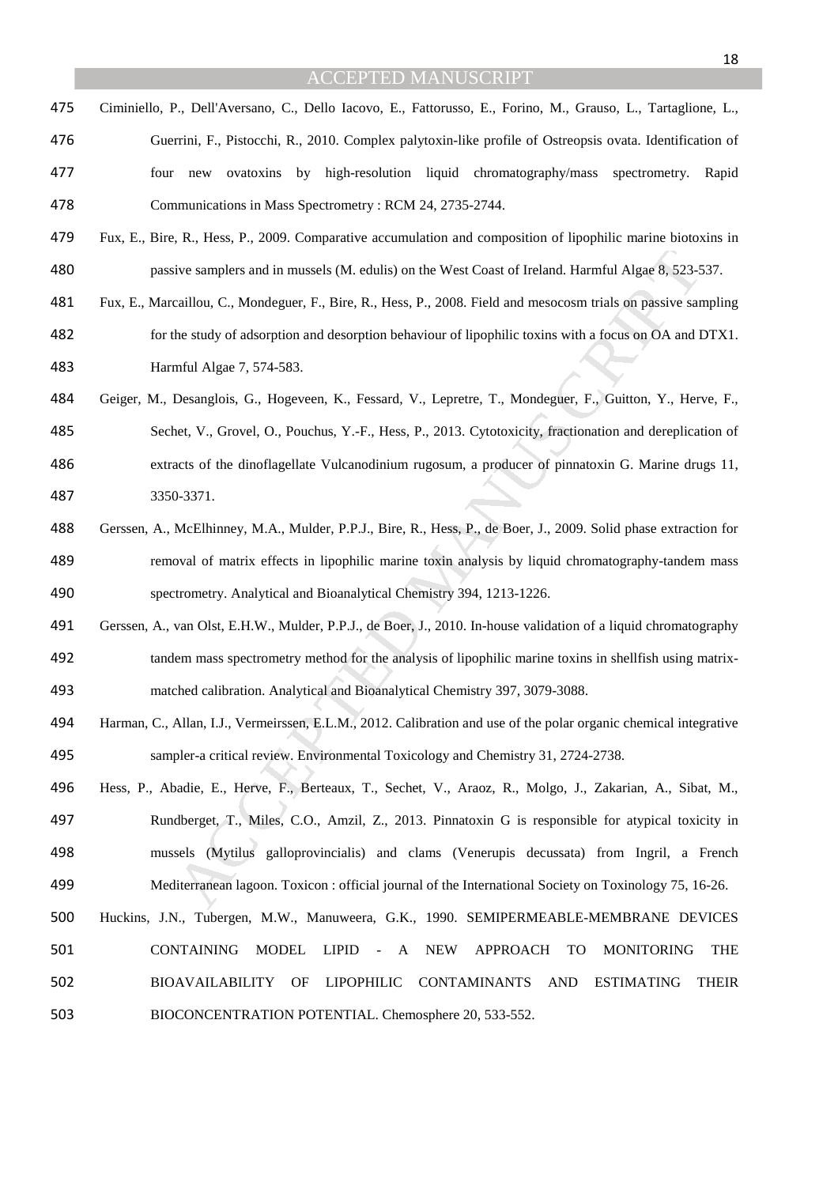- Ciminiello, P., Dell'Aversano, C., Dello Iacovo, E., Fattorusso, E., Forino, M., Grauso, L., Tartaglione, L., Guerrini, F., Pistocchi, R., 2010. Complex palytoxin-like profile of Ostreopsis ovata. Identification of four new ovatoxins by high-resolution liquid chromatography/mass spectrometry. Rapid Communications in Mass Spectrometry : RCM 24, 2735-2744.
- Fux, E., Bire, R., Hess, P., 2009. Comparative accumulation and composition of lipophilic marine biotoxins in passive samplers and in mussels (M. edulis) on the West Coast of Ireland. Harmful Algae 8, 523-537.
- Fux, E., Marcaillou, C., Mondeguer, F., Bire, R., Hess, P., 2008. Field and mesocosm trials on passive sampling for the study of adsorption and desorption behaviour of lipophilic toxins with a focus on OA and DTX1. Harmful Algae 7, 574-583.
- Geiger, M., Desanglois, G., Hogeveen, K., Fessard, V., Lepretre, T., Mondeguer, F., Guitton, Y., Herve, F., Sechet, V., Grovel, O., Pouchus, Y.-F., Hess, P., 2013. Cytotoxicity, fractionation and dereplication of extracts of the dinoflagellate Vulcanodinium rugosum, a producer of pinnatoxin G. Marine drugs 11, 3350-3371.
- Gerssen, A., McElhinney, M.A., Mulder, P.P.J., Bire, R., Hess, P., de Boer, J., 2009. Solid phase extraction for removal of matrix effects in lipophilic marine toxin analysis by liquid chromatography-tandem mass spectrometry. Analytical and Bioanalytical Chemistry 394, 1213-1226.
- Gerssen, A., van Olst, E.H.W., Mulder, P.P.J., de Boer, J., 2010. In-house validation of a liquid chromatography tandem mass spectrometry method for the analysis of lipophilic marine toxins in shellfish using matrix-matched calibration. Analytical and Bioanalytical Chemistry 397, 3079-3088.
- Harman, C., Allan, I.J., Vermeirssen, E.L.M., 2012. Calibration and use of the polar organic chemical integrative sampler-a critical review. Environmental Toxicology and Chemistry 31, 2724-2738.
- ive samplers and in mussels (M. edulis) on the West Coast of Ireland. Harmful Algae 8, 523-<br>caillou, C., Mondeguer, F., Birc, R., Hess, P., 2008. Field and mesocosm trials on passive sar<br>he study of adsorption and desorpti Hess, P., Abadie, E., Herve, F., Berteaux, T., Sechet, V., Araoz, R., Molgo, J., Zakarian, A., Sibat, M., Rundberget, T., Miles, C.O., Amzil, Z., 2013. Pinnatoxin G is responsible for atypical toxicity in mussels (Mytilus galloprovincialis) and clams (Venerupis decussata) from Ingril, a French Mediterranean lagoon. Toxicon : official journal of the International Society on Toxinology 75, 16-26.
- Huckins, J.N., Tubergen, M.W., Manuweera, G.K., 1990. SEMIPERMEABLE-MEMBRANE DEVICES CONTAINING MODEL LIPID - A NEW APPROACH TO MONITORING THE BIOAVAILABILITY OF LIPOPHILIC CONTAMINANTS AND ESTIMATING THEIR BIOCONCENTRATION POTENTIAL. Chemosphere 20, 533-552.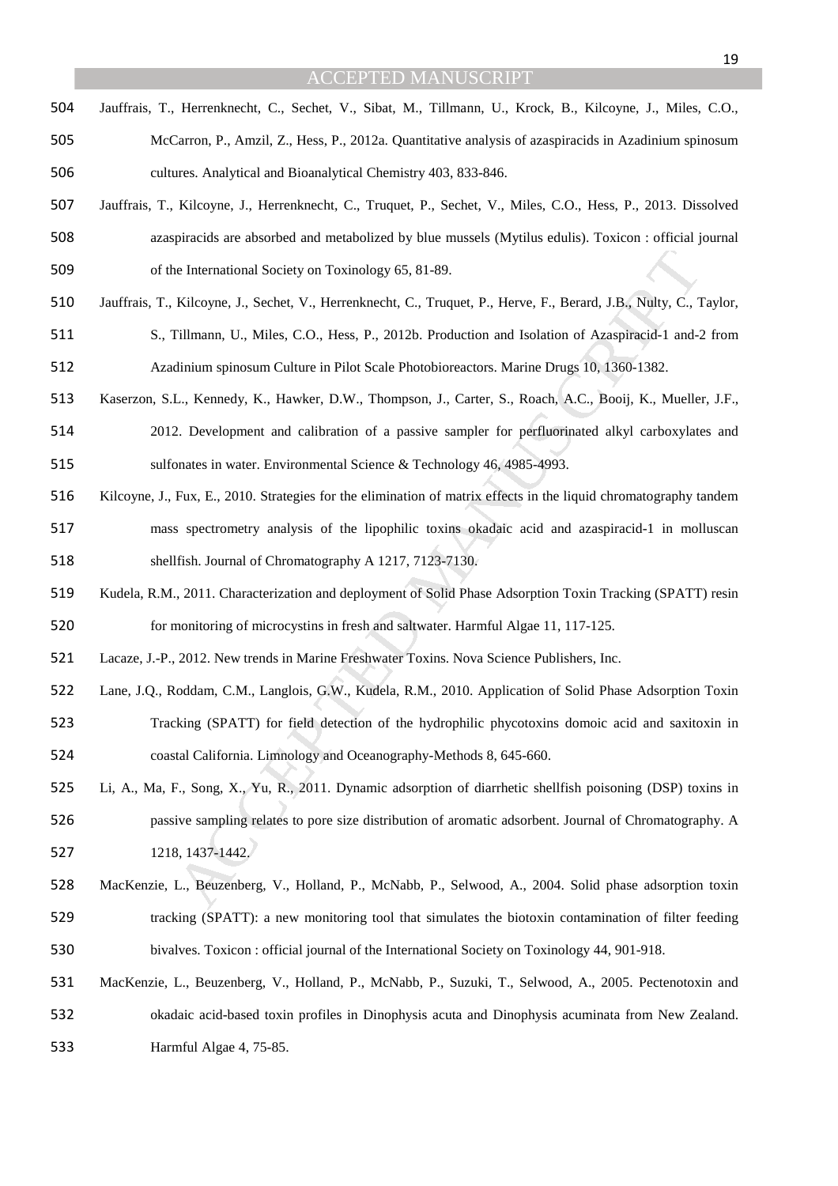- Jauffrais, T., Herrenknecht, C., Sechet, V., Sibat, M., Tillmann, U., Krock, B., Kilcoyne, J., Miles, C.O., McCarron, P., Amzil, Z., Hess, P., 2012a. Quantitative analysis of azaspiracids in Azadinium spinosum cultures. Analytical and Bioanalytical Chemistry 403, 833-846.
- Jauffrais, T., Kilcoyne, J., Herrenknecht, C., Truquet, P., Sechet, V., Miles, C.O., Hess, P., 2013. Dissolved azaspiracids are absorbed and metabolized by blue mussels (Mytilus edulis). Toxicon : official journal of the International Society on Toxinology 65, 81-89.
- Jauffrais, T., Kilcoyne, J., Sechet, V., Herrenknecht, C., Truquet, P., Herve, F., Berard, J.B., Nulty, C., Taylor,
- S., Tillmann, U., Miles, C.O., Hess, P., 2012b. Production and Isolation of Azaspiracid-1 and-2 from Azadinium spinosum Culture in Pilot Scale Photobioreactors. Marine Drugs 10, 1360-1382.
- Kaserzon, S.L., Kennedy, K., Hawker, D.W., Thompson, J., Carter, S., Roach, A.C., Booij, K., Mueller, J.F.,
- 2012. Development and calibration of a passive sampler for perfluorinated alkyl carboxylates and sulfonates in water. Environmental Science & Technology 46, 4985-4993.
- ite International Society on Toxinology 65, 81-89.<br>
Kileoyne, J., Scehet, V., Herrenknecht, C., Truquet, P., Herve, F., Bernad, J.B., Nølty, C., Tillmann, U., Miles, C.O., Hess, P., 2012h. Production and Isolation of Azasp Kilcoyne, J., Fux, E., 2010. Strategies for the elimination of matrix effects in the liquid chromatography tandem mass spectrometry analysis of the lipophilic toxins okadaic acid and azaspiracid-1 in molluscan shellfish. Journal of Chromatography A 1217, 7123-7130.
- Kudela, R.M., 2011. Characterization and deployment of Solid Phase Adsorption Toxin Tracking (SPATT) resin for monitoring of microcystins in fresh and saltwater. Harmful Algae 11, 117-125.
- Lacaze, J.-P., 2012. New trends in Marine Freshwater Toxins. Nova Science Publishers, Inc.
- Lane, J.Q., Roddam, C.M., Langlois, G.W., Kudela, R.M., 2010. Application of Solid Phase Adsorption Toxin Tracking (SPATT) for field detection of the hydrophilic phycotoxins domoic acid and saxitoxin in coastal California. Limnology and Oceanography-Methods 8, 645-660.
- Li, A., Ma, F., Song, X., Yu, R., 2011. Dynamic adsorption of diarrhetic shellfish poisoning (DSP) toxins in passive sampling relates to pore size distribution of aromatic adsorbent. Journal of Chromatography. A 1218, 1437-1442.
- MacKenzie, L., Beuzenberg, V., Holland, P., McNabb, P., Selwood, A., 2004. Solid phase adsorption toxin tracking (SPATT): a new monitoring tool that simulates the biotoxin contamination of filter feeding bivalves. Toxicon : official journal of the International Society on Toxinology 44, 901-918.
- MacKenzie, L., Beuzenberg, V., Holland, P., McNabb, P., Suzuki, T., Selwood, A., 2005. Pectenotoxin and okadaic acid-based toxin profiles in Dinophysis acuta and Dinophysis acuminata from New Zealand. Harmful Algae 4, 75-85.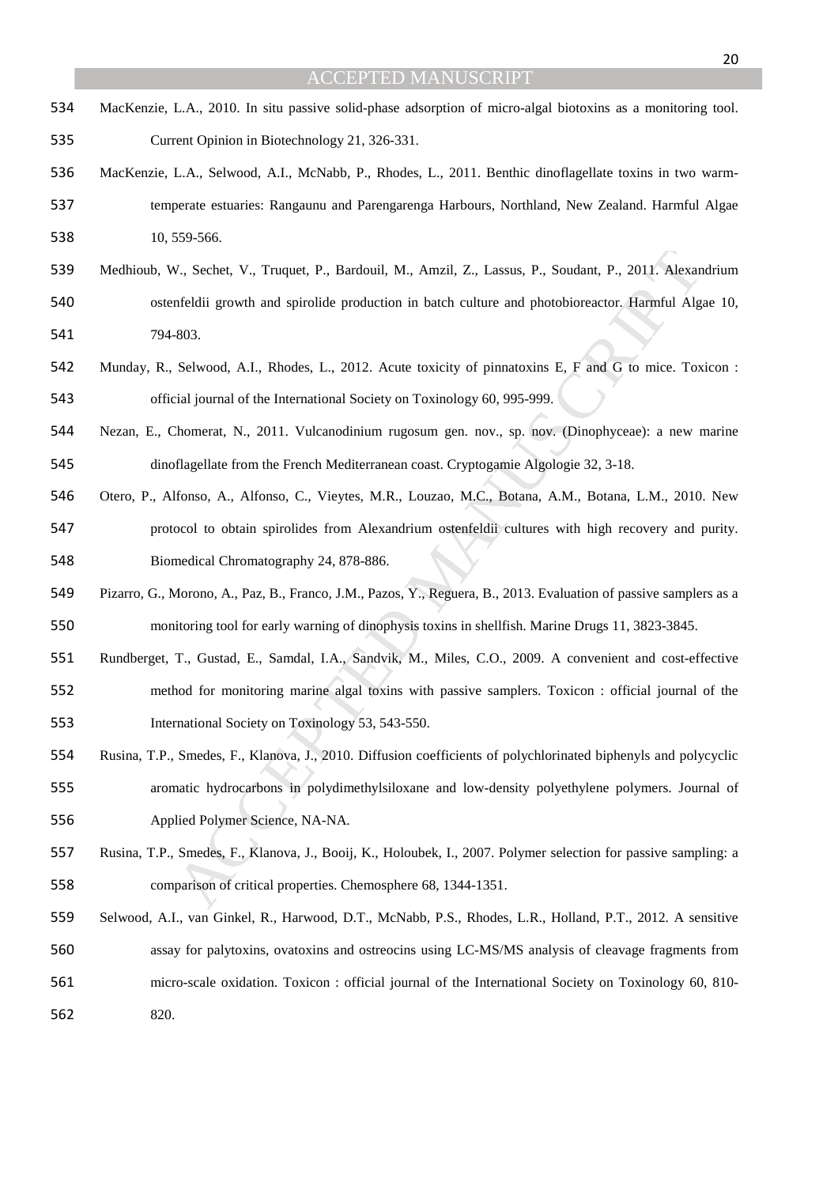- MacKenzie, L.A., 2010. In situ passive solid-phase adsorption of micro-algal biotoxins as a monitoring tool. Current Opinion in Biotechnology 21, 326-331.
- MacKenzie, L.A., Selwood, A.I., McNabb, P., Rhodes, L., 2011. Benthic dinoflagellate toxins in two warm-temperate estuaries: Rangaunu and Parengarenga Harbours, Northland, New Zealand. Harmful Algae 10, 559-566.
- MANUSCRIPT ACCEPTED Medhioub, W., Sechet, V., Truquet, P., Bardouil, M., Amzil, Z., Lassus, P., Soudant, P., 2011. Alexandrium ostenfeldii growth and spirolide production in batch culture and photobioreactor. Harmful Algae 10, 794-803.
- Munday, R., Selwood, A.I., Rhodes, L., 2012. Acute toxicity of pinnatoxins E, F and G to mice. Toxicon : official journal of the International Society on Toxinology 60, 995-999.
- Nezan, E., Chomerat, N., 2011. Vulcanodinium rugosum gen. nov., sp. nov. (Dinophyceae): a new marine dinoflagellate from the French Mediterranean coast. Cryptogamie Algologie 32, 3-18.
- Otero, P., Alfonso, A., Alfonso, C., Vieytes, M.R., Louzao, M.C., Botana, A.M., Botana, L.M., 2010. New protocol to obtain spirolides from Alexandrium ostenfeldii cultures with high recovery and purity. Biomedical Chromatography 24, 878-886.
- Pizarro, G., Morono, A., Paz, B., Franco, J.M., Pazos, Y., Reguera, B., 2013. Evaluation of passive samplers as a monitoring tool for early warning of dinophysis toxins in shellfish. Marine Drugs 11, 3823-3845.
- Rundberget, T., Gustad, E., Samdal, I.A., Sandvik, M., Miles, C.O., 2009. A convenient and cost-effective method for monitoring marine algal toxins with passive samplers. Toxicon : official journal of the International Society on Toxinology 53, 543-550.
- Rusina, T.P., Smedes, F., Klanova, J., 2010. Diffusion coefficients of polychlorinated biphenyls and polycyclic aromatic hydrocarbons in polydimethylsiloxane and low-density polyethylene polymers. Journal of Applied Polymer Science, NA-NA.
- Rusina, T.P., Smedes, F., Klanova, J., Booij, K., Holoubek, I., 2007. Polymer selection for passive sampling: a comparison of critical properties. Chemosphere 68, 1344-1351.
- Selwood, A.I., van Ginkel, R., Harwood, D.T., McNabb, P.S., Rhodes, L.R., Holland, P.T., 2012. A sensitive assay for palytoxins, ovatoxins and ostreocins using LC-MS/MS analysis of cleavage fragments from micro-scale oxidation. Toxicon : official journal of the International Society on Toxinology 60, 810-

820.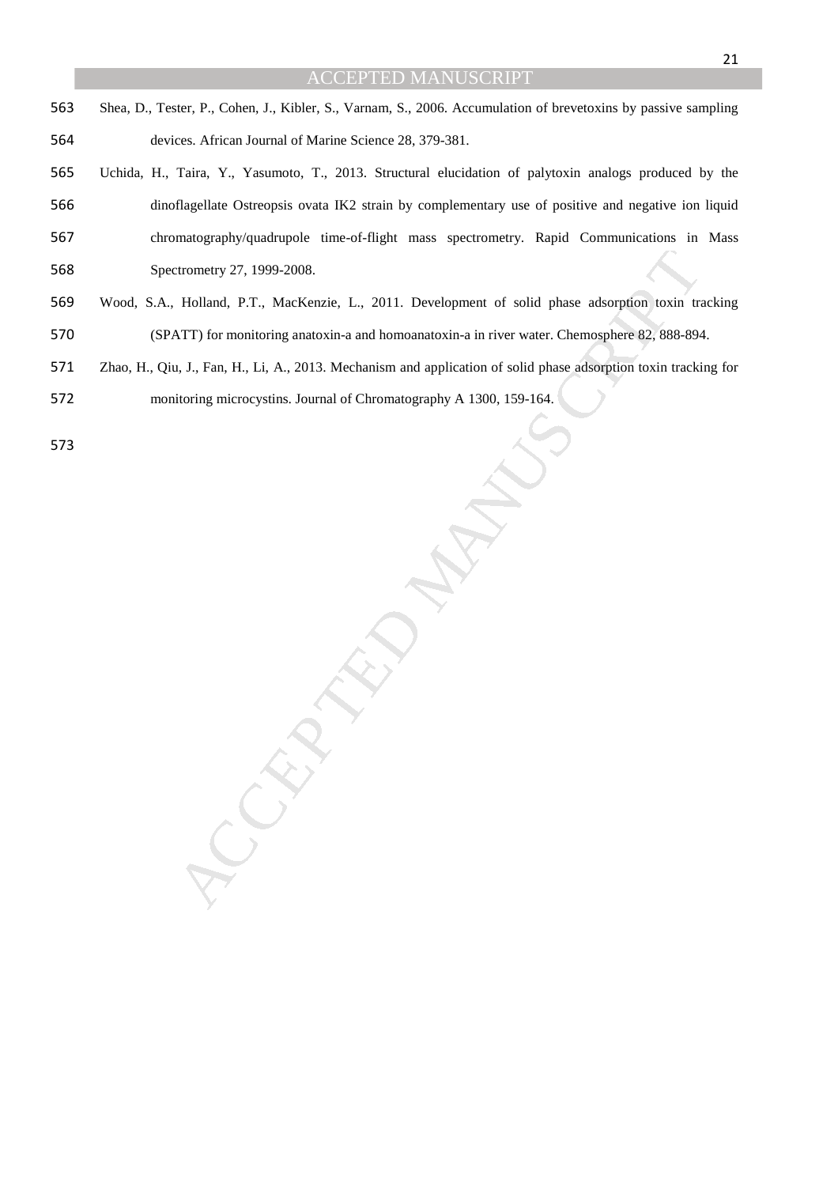- Shea, D., Tester, P., Cohen, J., Kibler, S., Varnam, S., 2006. Accumulation of brevetoxins by passive sampling devices. African Journal of Marine Science 28, 379-381.
- Uchida, H., Taira, Y., Yasumoto, T., 2013. Structural elucidation of palytoxin analogs produced by the dinoflagellate Ostreopsis ovata IK2 strain by complementary use of positive and negative ion liquid chromatography/quadrupole time-of-flight mass spectrometry. Rapid Communications in Mass Spectrometry 27, 1999-2008.
- Etrometry 27, 1999-2008.<br>
Holland, P.T., MacKenzie, L., 2011. Development of solid phase adsorption toxin tra<br>
ATT) for monitoring anatoxin-a and hormoanatoxin-a in river watter. Chemosphere 82, 888-894<br>
1, J., Fan, H., Li Wood, S.A., Holland, P.T., MacKenzie, L., 2011. Development of solid phase adsorption toxin tracking (SPATT) for monitoring anatoxin-a and homoanatoxin-a in river water. Chemosphere 82, 888-894.
- Zhao, H., Qiu, J., Fan, H., Li, A., 2013. Mechanism and application of solid phase adsorption toxin tracking for
- monitoring microcystins. Journal of Chromatography A 1300, 159-164.
-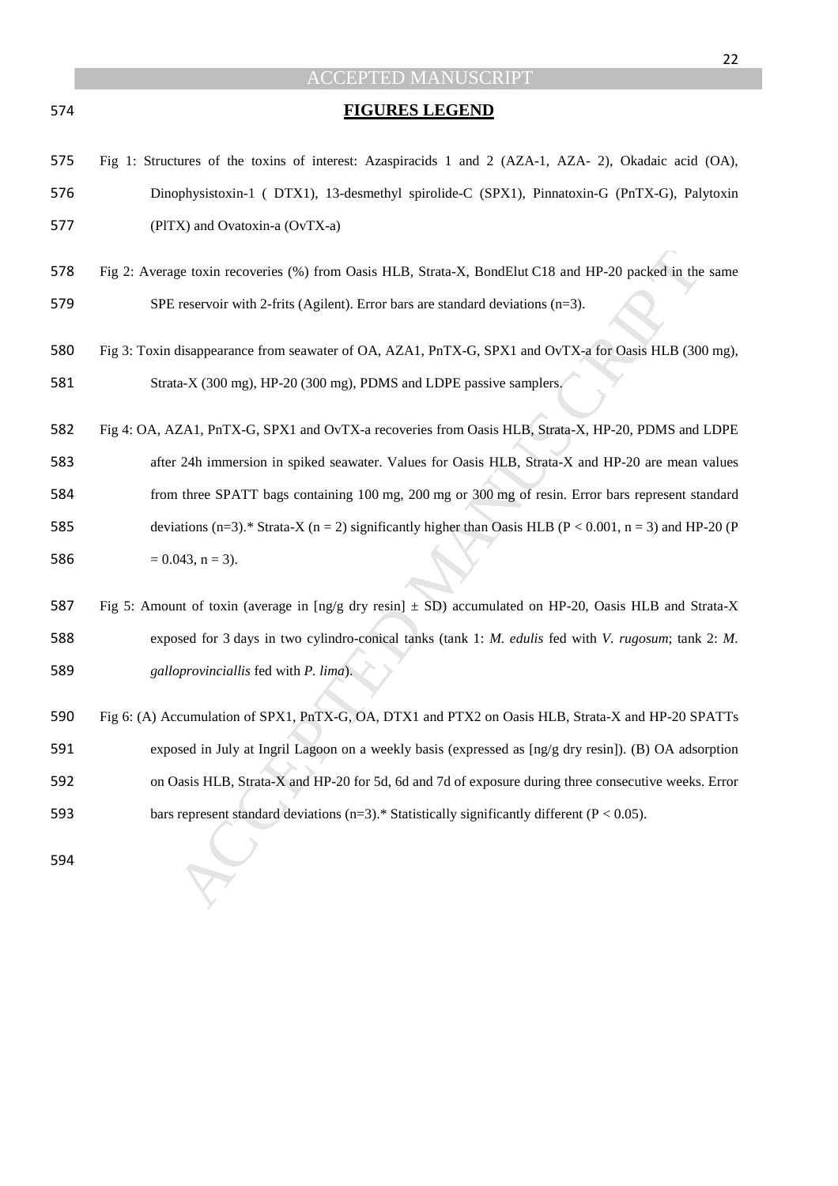|     | 22                                                                                                                            |
|-----|-------------------------------------------------------------------------------------------------------------------------------|
|     | <b>ACCEPTED MANUSCRIPT</b>                                                                                                    |
| 574 | <b>FIGURES LEGEND</b>                                                                                                         |
| 575 | Fig 1: Structures of the toxins of interest: Azaspiracids 1 and 2 (AZA-1, AZA-2), Okadaic acid (OA),                          |
| 576 | Dinophysistoxin-1 (DTX1), 13-desmethyl spirolide-C (SPX1), Pinnatoxin-G (PnTX-G), Palytoxin                                   |
| 577 | (PITX) and Ovatoxin-a (OvTX-a)                                                                                                |
| 578 | Fig 2: Average toxin recoveries (%) from Oasis HLB, Strata-X, BondElut C18 and HP-20 packed in the same                       |
| 579 | SPE reservoir with 2-frits (Agilent). Error bars are standard deviations $(n=3)$ .                                            |
| 580 | Fig 3: Toxin disappearance from seawater of OA, AZA1, PnTX-G, SPX1 and OvTX-a for Oasis HLB (300 mg),                         |
| 581 | Strata-X (300 mg), HP-20 (300 mg), PDMS and LDPE passive samplers.                                                            |
| 582 | Fig 4: OA, AZA1, PnTX-G, SPX1 and OvTX-a recoveries from Oasis HLB, Strata-X, HP-20, PDMS and LDPE                            |
| 583 | after 24h immersion in spiked seawater. Values for Oasis HLB, Strata-X and HP-20 are mean values                              |
| 584 | from three SPATT bags containing 100 mg, 200 mg or 300 mg of resin. Error bars represent standard                             |
| 585 | deviations (n=3).* Strata-X (n = 2) significantly higher than Oasis HLB (P < 0.001, n = 3) and HP-20 (P                       |
| 586 | $= 0.043$ , n = 3).                                                                                                           |
| 587 | Fig 5: Amount of toxin (average in $\lfloor \text{ng/g dry resin} \rfloor$ ± SD) accumulated on HP-20, Oasis HLB and Strata-X |
| 588 | exposed for 3 days in two cylindro-conical tanks (tank 1: M. edulis fed with V. rugosum; tank 2: M.                           |
| 589 | galloprovinciallis fed with P. lima).                                                                                         |
| 590 | Fig 6: (A) Accumulation of SPX1, PnTX-G, OA, DTX1 and PTX2 on Oasis HLB, Strata-X and HP-20 SPATTs                            |
| 591 | exposed in July at Ingril Lagoon on a weekly basis (expressed as [ng/g dry resin]). (B) OA adsorption                         |
| 592 | on Oasis HLB, Strata-X and HP-20 for 5d, 6d and 7d of exposure during three consecutive weeks. Error                          |
| 593 | bars represent standard deviations (n=3).* Statistically significantly different ( $P < 0.05$ ).                              |
| 594 |                                                                                                                               |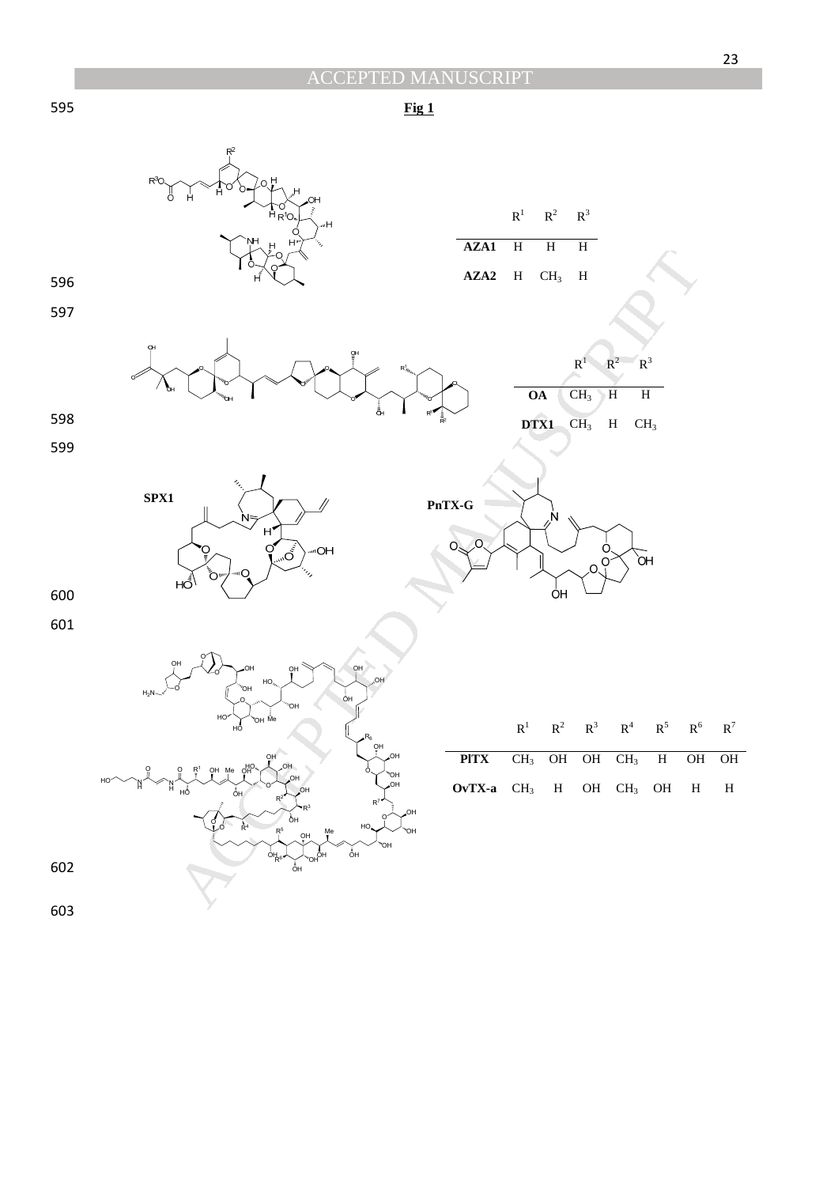23

595 **Fig 1** 



603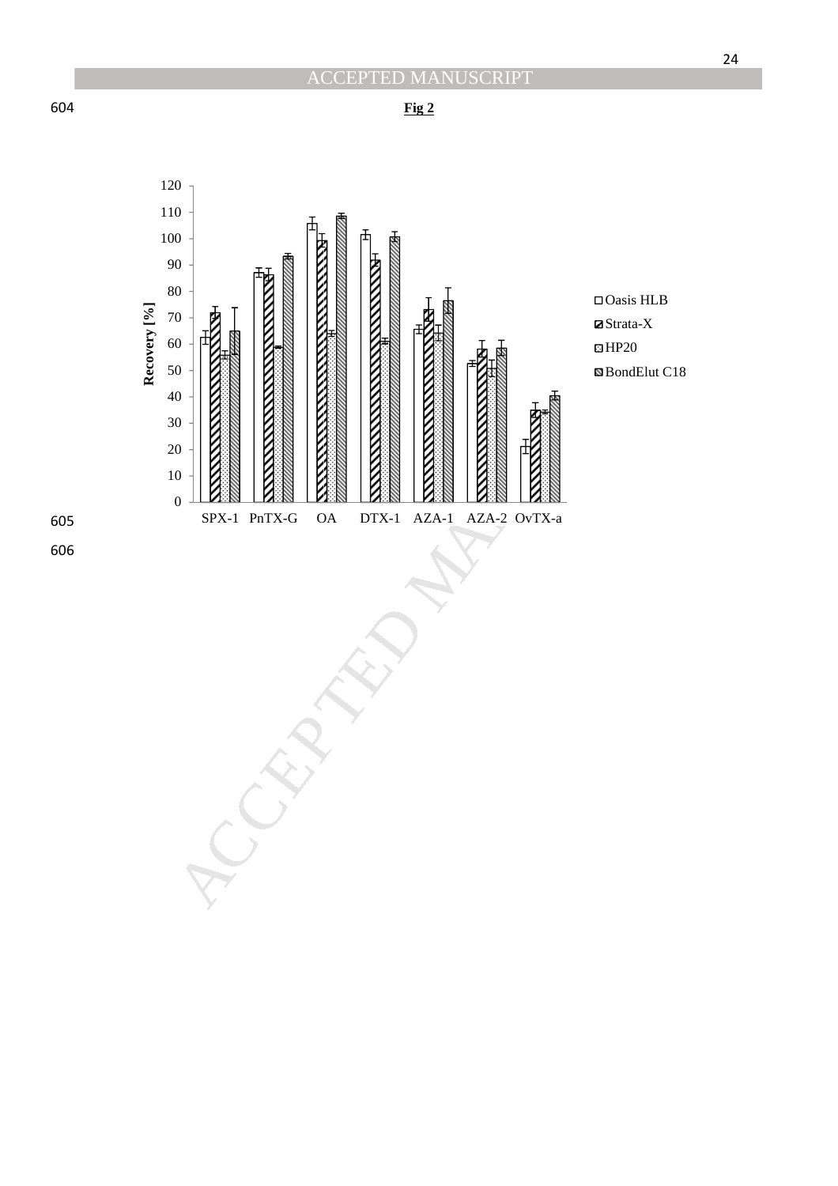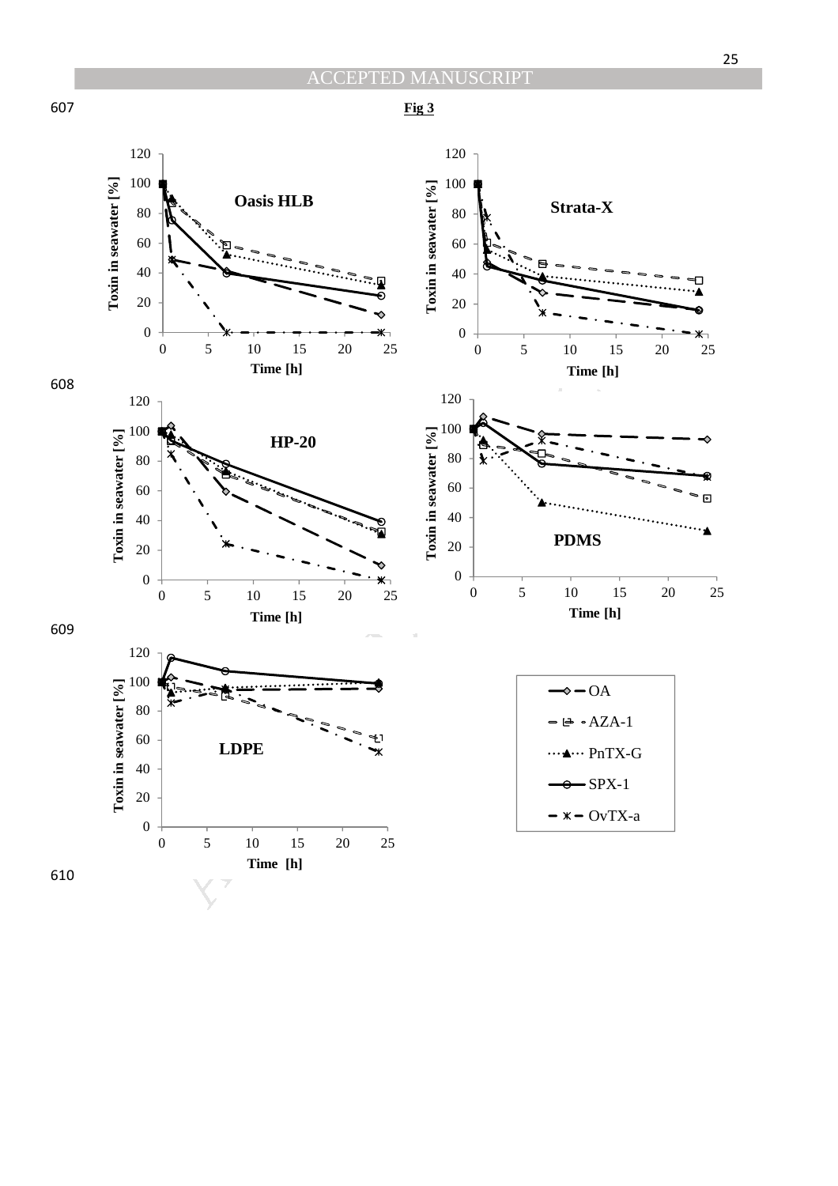

120 120 Toxin in seawater [%] 100 100 **Toxin in seawater [%] Toxin in seawater [%] Oasis HLB Strata-X** 80 80 60 60 MP-20<br>  $\frac{10}{5}$ <br>  $\frac{10}{10}$ <br>  $\frac{15}{10}$ <br>  $\frac{1}{10}$ <br>  $\frac{1}{10}$ <br>  $\frac{1}{10}$ <br>  $\frac{1}{10}$ <br>  $\frac{1}{10}$ <br>  $\frac{1}{10}$ <br>  $\frac{1}{10}$ <br>  $\frac{1}{10}$ <br>  $\frac{1}{10}$ <br>  $\frac{1}{10}$ <br>  $\frac{1}{10}$ <br>  $\frac{1}{10}$ <br>  $\frac{1}{10}$ <br>  $\frac{1}{10}$ <br>  $\frac{1}{10$ 40 40 20 20 0 0 0 5 10 15 20 25 0 5 10 15 20 25 **Time [h] Time [h]** 608 120 120 100 100 Toxin in seawater [%] **Toxin in seawater [%] Toxin in seawater [%] HP-20** 80 80 60 60 40 40 **PDMS** 20 20 0 0 0 5 10 15 20 25 0 5 10 15 20 25 **Time [h] Time [h]** 609 120 100 Toxin in seawater  $[%$ **Toxin in seawater [%]**  $\diamond$  - OA 80  $\triangle$  - AZA-1 60 **LDPE** ... PnTX-G 40  $-$ SPX-1 20  $- x - OvTX-a$ 0 0 5 10 15 20 25 **Time [h]** 610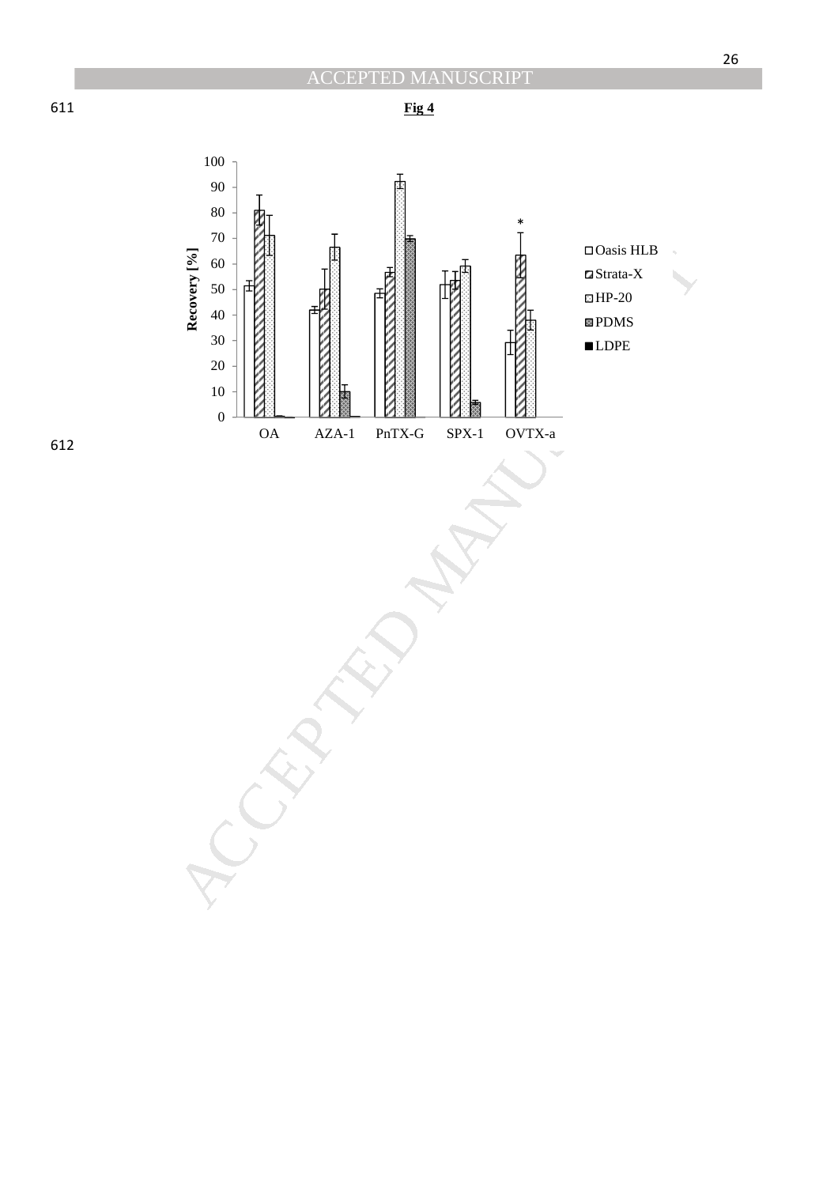



612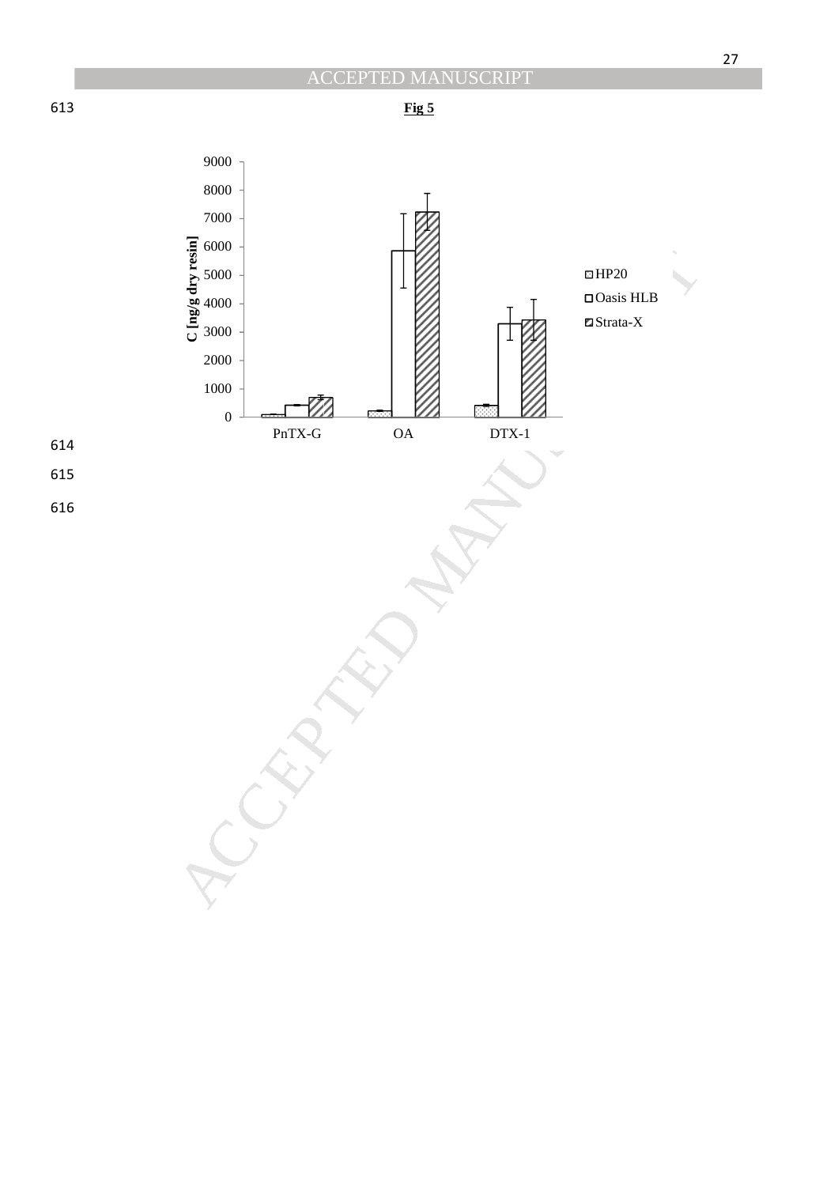

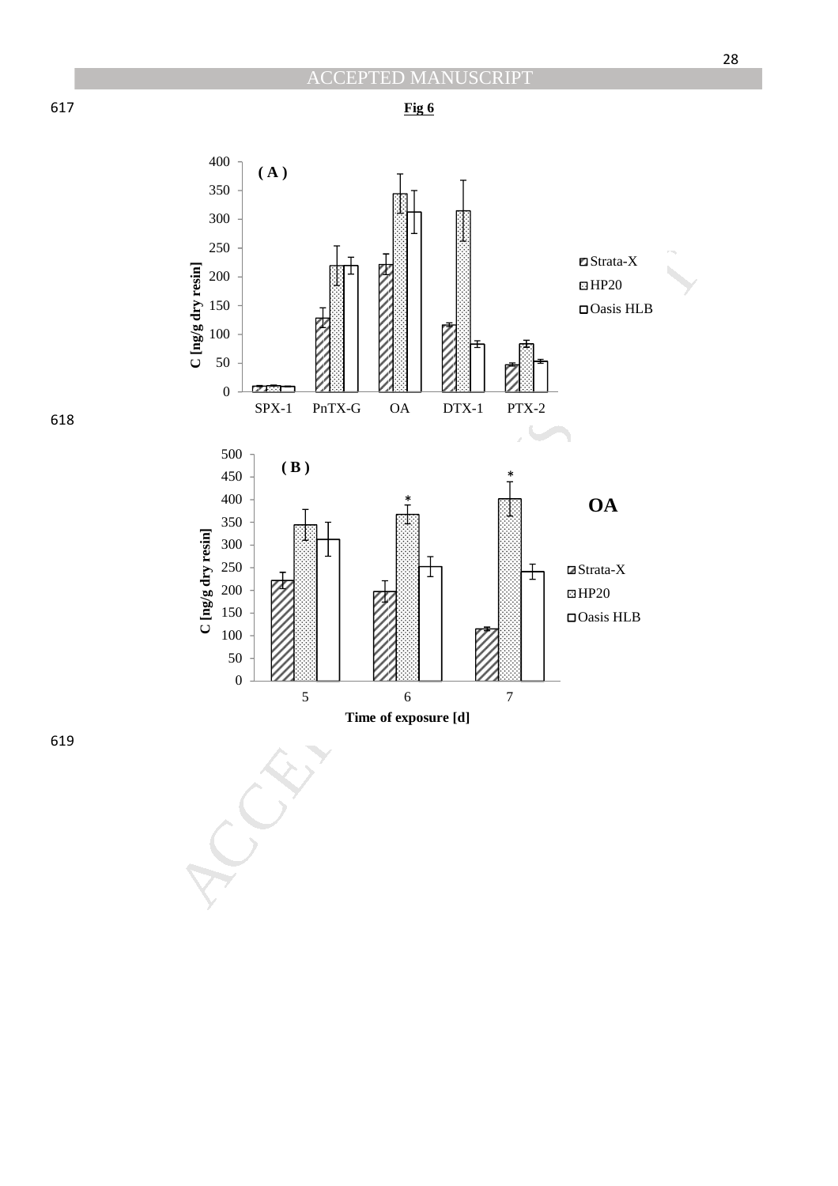Strata-X  $\boxtimes$  HP20

Oasis HLB

 $\blacksquare$ Strata-X  $\boxdot$ HP20

\* **OA**

Oasis HLB



**Fig 6**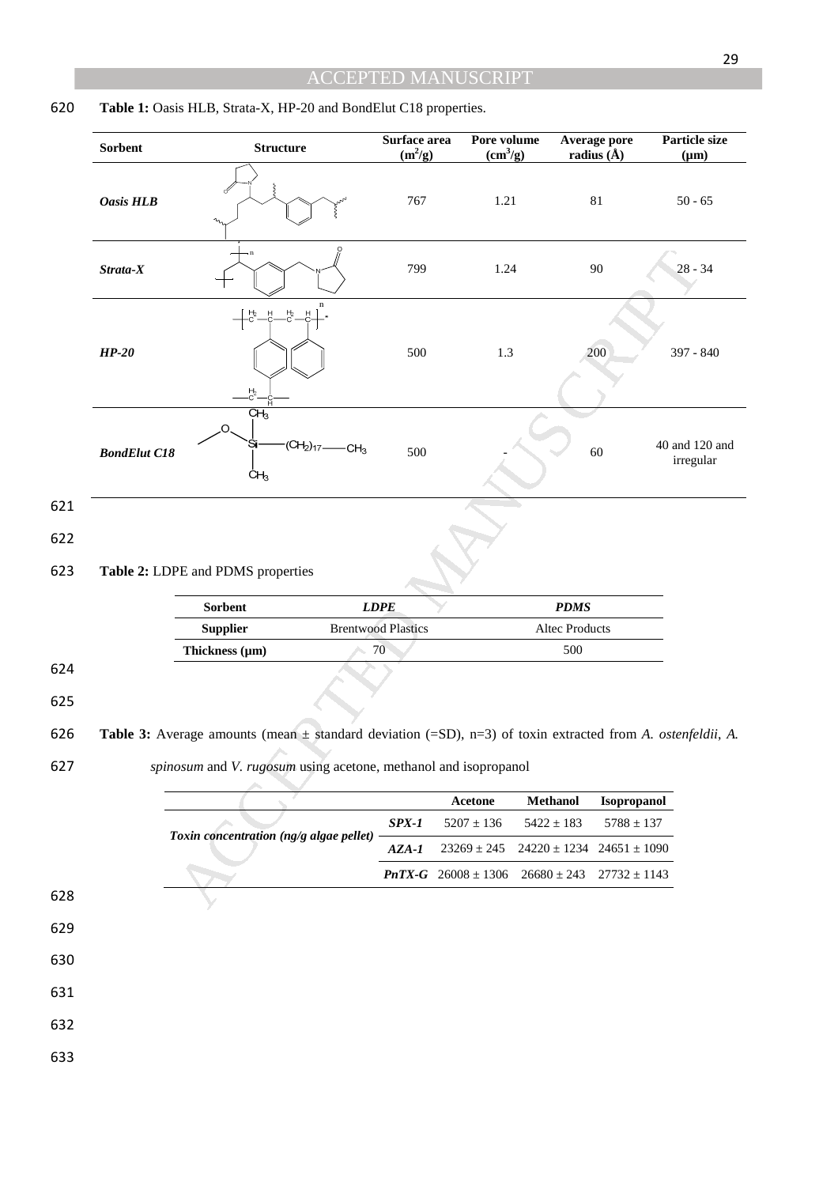|            | Sorbent             | <b>Structure</b>                                                                                               | Surface area<br>$(m^2/g)$       | Pore volume<br>(cm <sup>3</sup> /g) | Average pore<br>radius $(\hat{A})$ | Particle size<br>$(\mu m)$ |                             |  |
|------------|---------------------|----------------------------------------------------------------------------------------------------------------|---------------------------------|-------------------------------------|------------------------------------|----------------------------|-----------------------------|--|
|            | <b>Oasis HLB</b>    |                                                                                                                | 767                             | 1.21                                |                                    | $81\,$                     | $50 - 65$                   |  |
|            | $Strata-X$          |                                                                                                                | 799                             | 1.24                                |                                    | 90                         | $28 - 34$                   |  |
|            | $HP-20$             | $-c$ .<br>붜<br>$\frac{H_2}{C}$                                                                                 | 500                             | 1.3                                 |                                    | 200                        | 397 - 840                   |  |
|            | <b>BondElut C18</b> | CH <sub>3</sub><br>О.<br>$(CH_2)_{17}$ —<br>Si<br>$-CH3$<br>ĊH <sub>3</sub>                                    | 500                             |                                     |                                    | 60                         | 40 and 120 and<br>irregular |  |
| 621        |                     |                                                                                                                |                                 |                                     |                                    |                            |                             |  |
| 622<br>623 |                     | Table 2: LDPE and PDMS properties                                                                              |                                 |                                     |                                    |                            |                             |  |
|            |                     | Sorbent                                                                                                        | <b>LDPE</b>                     |                                     | <b>PDMS</b>                        |                            |                             |  |
|            |                     | <b>Supplier</b><br>Thickness (µm)                                                                              | <b>Brentwood Plastics</b><br>70 |                                     | Altec Products<br>500              |                            |                             |  |
| 624<br>625 |                     |                                                                                                                |                                 |                                     |                                    |                            |                             |  |
| 626        |                     | Table 3: Average amounts (mean $\pm$ standard deviation (=SD), n=3) of toxin extracted from A. ostenfeldii, A. |                                 |                                     |                                    |                            |                             |  |
| 627        |                     | spinosum and V. rugosum using acetone, methanol and isopropanol                                                |                                 |                                     |                                    |                            |                             |  |
|            |                     |                                                                                                                |                                 | Acetone                             | Methanol                           | Isopropanol                |                             |  |
|            |                     | Toxin concentration (ng/g algae pellet)                                                                        | $SPX-1$                         | $5207 \pm 136$                      | $5422 \pm 183$                     | $5788 \pm 137$             |                             |  |
|            |                     |                                                                                                                | $AZA-I$                         | $23269 \pm 245$                     | $24220 \pm 1234$                   | $24651 \pm 1090$           |                             |  |
|            |                     |                                                                                                                |                                 | $PnTX-G$ 26008 ± 1306               | $26680 \pm 243$                    | $27732 \pm 1143$           |                             |  |
| 628        |                     |                                                                                                                |                                 |                                     |                                    |                            |                             |  |
| 629        |                     |                                                                                                                |                                 |                                     |                                    |                            |                             |  |
| 630        |                     |                                                                                                                |                                 |                                     |                                    |                            |                             |  |
| 631        |                     |                                                                                                                |                                 |                                     |                                    |                            |                             |  |
| 632        |                     |                                                                                                                |                                 |                                     |                                    |                            |                             |  |
| 633        |                     |                                                                                                                |                                 |                                     |                                    |                            |                             |  |

## 620 **Table 1:** Oasis HLB, Strata-X, HP-20 and BondElut C18 properties.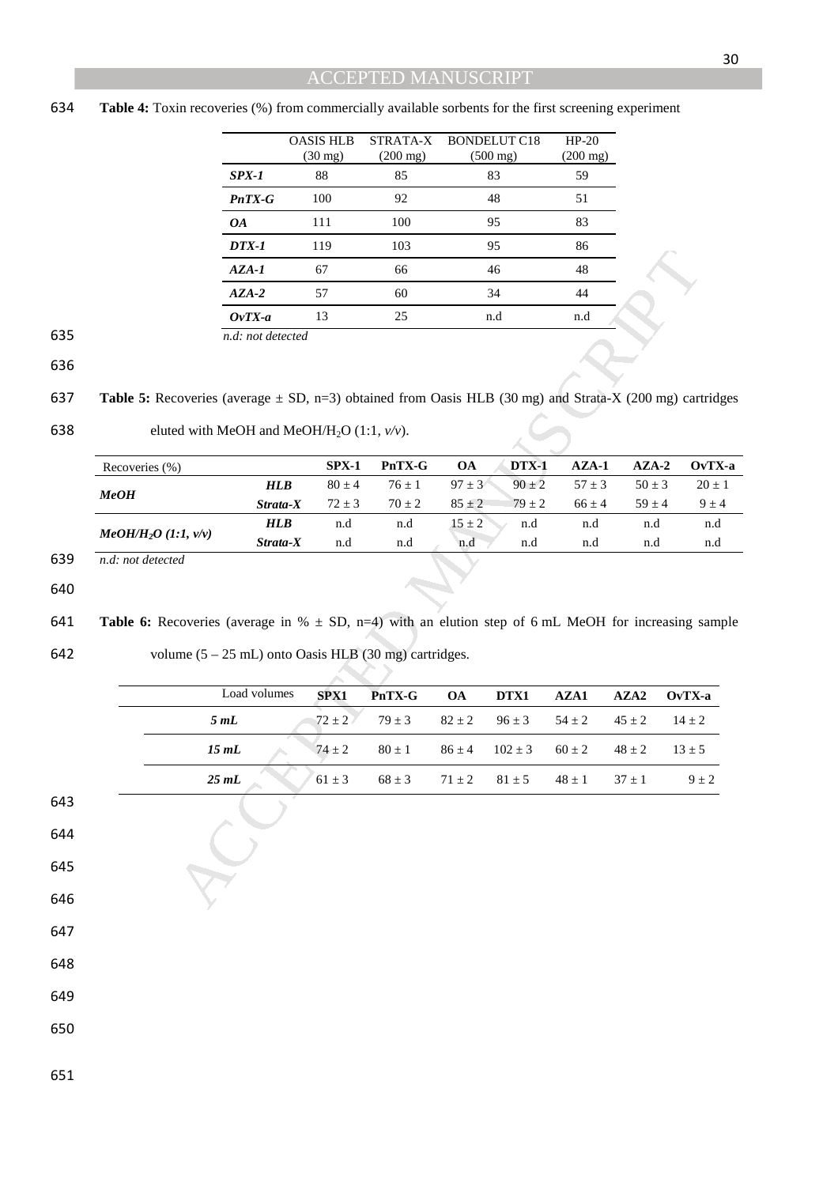#### 634 **Table 4:** Toxin recoveries (%) from commercially available sorbents for the first screening experiment

|          | <b>OASIS HLB</b><br>$(30 \text{ mg})$ | STRATA-X<br>$(200 \text{ mg})$ | BONDELUT C18<br>$(500 \text{ mg})$ | $HP-20$<br>$(200 \text{ mg})$ |
|----------|---------------------------------------|--------------------------------|------------------------------------|-------------------------------|
| $SPX-1$  | 88                                    | 85                             | 83                                 | 59                            |
| $PnTX-G$ | 100                                   | 92                             | 48                                 | 51                            |
| 0A       | 111                                   | 100                            | 95                                 | 83                            |
| $DTX-1$  | 119                                   | 103                            | 95                                 | 86                            |
| $AZA-I$  | 67                                    | 66                             | 46                                 | 48                            |
| $AZA-2$  | 57                                    | 60                             | 34                                 | 44                            |
| $OvTX-a$ | 13                                    | 25                             | n.d                                | n.d                           |

<sup>635</sup> *n.d: not detected* 

|     | Recoveries (%)           |            | $SPX-1$  | PnTX-G   | <b>OA</b>  | $DTX-1$  | $AZA-1$  | $AZA-2$  | $OvTX-a$ |
|-----|--------------------------|------------|----------|----------|------------|----------|----------|----------|----------|
|     |                          | <b>HLB</b> | $80 + 4$ | $76 + 1$ | $97 + 3$   | $90 + 2$ | $57 + 3$ | $50 + 3$ | $20 + 1$ |
|     | MeOH                     | Strata-X   | $72 + 3$ | $70 + 2$ | $85 \pm 2$ | $79 + 2$ | $66 + 4$ | $59 + 4$ | $9 + 4$  |
|     |                          | <b>HLB</b> | n.d      | n.d      | $15 \pm 2$ | n.d      | n.d      | n.d      | n.d      |
|     | $MeOH/H2O$ (1:1, $v/v$ ) | Strata-X   | n.d      | n.d      | n.d        | n.d      | n.d      | n.d      | n.d      |
| 639 | n.d: not detected        |            |          |          |            |          |          |          |          |

647

648

649

650

651

|                                                                                                                  | <i><b>DIA-1</b></i>                                                               | 117        | 10J        | フコ         |             | $\sigma$   |            |                  |
|------------------------------------------------------------------------------------------------------------------|-----------------------------------------------------------------------------------|------------|------------|------------|-------------|------------|------------|------------------|
|                                                                                                                  | AZA-1                                                                             | 67         | 66         |            | 46          | 48         |            |                  |
|                                                                                                                  | $AZA-2$                                                                           | 57         | 60         |            | 34          | 44         |            |                  |
|                                                                                                                  | $OvTX-a$                                                                          | 13         | 25         | n.d        |             | n.d        |            |                  |
|                                                                                                                  | n.d: not detected                                                                 |            |            |            |             |            |            |                  |
| <b>Table 5:</b> Recoveries (average $\pm$ SD, n=3) obtained from Oasis HLB (30 mg) and Strata-X (200 mg) cartrid |                                                                                   |            |            |            |             |            |            |                  |
|                                                                                                                  | eluted with MeOH and MeOH/H <sub>2</sub> O (1:1, $v/v$ ).                         |            |            |            |             |            |            |                  |
| Recoveries (%)                                                                                                   |                                                                                   | $SPX-1$    | PnTX-G     | <b>OA</b>  | DTX-1       | $AZA-1$    | $AZA-2$    | OvT <sub>2</sub> |
| MeOH                                                                                                             | $H\!L\!B$                                                                         | $80 \pm 4$ | $76 \pm 1$ | $97 \pm 3$ | $90 \pm 2$  | $57 \pm 3$ | $50 \pm 3$ | $20 \pm$         |
|                                                                                                                  | Strata-X                                                                          | $72 \pm 3$ | $70\pm2$   | $85 \pm 2$ | $79 \pm 2$  | $66\pm4$   | $59\pm4$   | $9\pm$           |
| $MeOH/H_2O$ (1:1, $v/v$ )                                                                                        | $H\!L\!B$                                                                         | n.d        | n.d        | $15 \pm 2$ | n.d         | n.d        | n.d        | n.d              |
| n.d: not detected                                                                                                | Strata-X                                                                          | n.d        | n.d        | n.d        | n.d         | n.d        | n.d        | n.d              |
| <b>Table 6:</b> Recoveries (average in $% \pm SD$ , n=4) with an elution step of 6 mL MeOH for increasing sam    | volume $(5 - 25$ mL) onto Oasis HLB $(30 \text{ mg})$ cartridges.<br>Load volumes |            |            |            |             |            |            |                  |
|                                                                                                                  |                                                                                   | SPX1       | PnTX-G     | <b>OA</b>  | DTX1        | AZA1       | AZA2       | OvTX-a           |
|                                                                                                                  | 5 mL                                                                              | $72\pm2$   | $79\pm3$   | $82\pm2$   | $96 \pm 3$  | $54\pm2$   | $45\pm2$   | $14\pm2$         |
|                                                                                                                  | 15 mL                                                                             | $74 \pm 2$ | $80 \pm 1$ | $86 \pm 4$ | $102 \pm 3$ | $60\pm2$   | $48 \pm 2$ | $13 \pm 5$       |
|                                                                                                                  |                                                                                   |            |            |            |             |            |            |                  |
|                                                                                                                  | 25 mL                                                                             | $61 \pm 3$ | $68 \pm 3$ | $71\pm2$   | $81\pm5$    | $48\pm1$   | $37\pm1$   |                  |
|                                                                                                                  |                                                                                   |            |            |            |             |            |            | $9 \pm 2$        |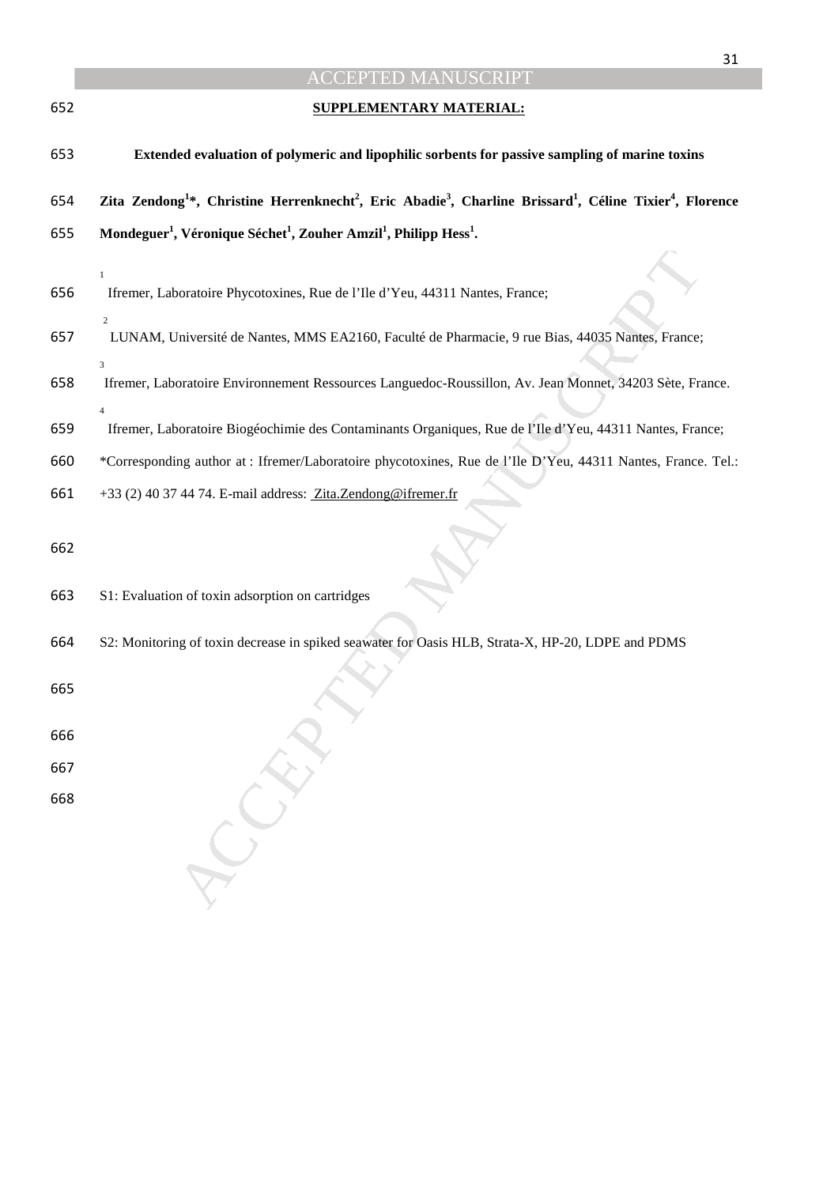|     | 31                                                                                                                                                                   |
|-----|----------------------------------------------------------------------------------------------------------------------------------------------------------------------|
|     | <b>ACCEPTED MANUSCRIPT</b>                                                                                                                                           |
| 652 | <b>SUPPLEMENTARY MATERIAL:</b>                                                                                                                                       |
| 653 | Extended evaluation of polymeric and lipophilic sorbents for passive sampling of marine toxins                                                                       |
| 654 | Zita Zendong <sup>1</sup> *, Christine Herrenknecht <sup>2</sup> , Eric Abadie <sup>3</sup> , Charline Brissard <sup>1</sup> , Céline Tixier <sup>4</sup> , Florence |
| 655 | Mondeguer <sup>1</sup> , Véronique Séchet <sup>1</sup> , Zouher Amzil <sup>1</sup> , Philipp Hess <sup>1</sup> .                                                     |
|     |                                                                                                                                                                      |
| 656 | $\mathbf{1}$<br>Ifremer, Laboratoire Phycotoxines, Rue de l'Ile d'Yeu, 44311 Nantes, France;                                                                         |
| 657 | $\overline{c}$<br>LUNAM, Université de Nantes, MMS EA2160, Faculté de Pharmacie, 9 rue Bias, 44035 Nantes, France;<br>3                                              |
| 658 | Ifremer, Laboratoire Environnement Ressources Languedoc-Roussillon, Av. Jean Monnet, 34203 Sète, France.                                                             |
| 659 | $\Delta$<br>Ifremer, Laboratoire Biogéochimie des Contaminants Organiques, Rue de l'Ile d'Yeu, 44311 Nantes, France;                                                 |
| 660 | *Corresponding author at : Ifremer/Laboratoire phycotoxines, Rue de l'Ile D'Yeu, 44311 Nantes, France. Tel.:                                                         |
| 661 | +33 (2) 40 37 44 74. E-mail address: Zita.Zendong@ifremer.fr                                                                                                         |
| 662 |                                                                                                                                                                      |
| 663 | S1: Evaluation of toxin adsorption on cartridges                                                                                                                     |
| 664 | S2: Monitoring of toxin decrease in spiked seawater for Oasis HLB, Strata-X, HP-20, LDPE and PDMS                                                                    |
| 665 |                                                                                                                                                                      |
| 666 |                                                                                                                                                                      |
| 667 |                                                                                                                                                                      |
| 668 |                                                                                                                                                                      |
|     |                                                                                                                                                                      |
|     |                                                                                                                                                                      |
|     |                                                                                                                                                                      |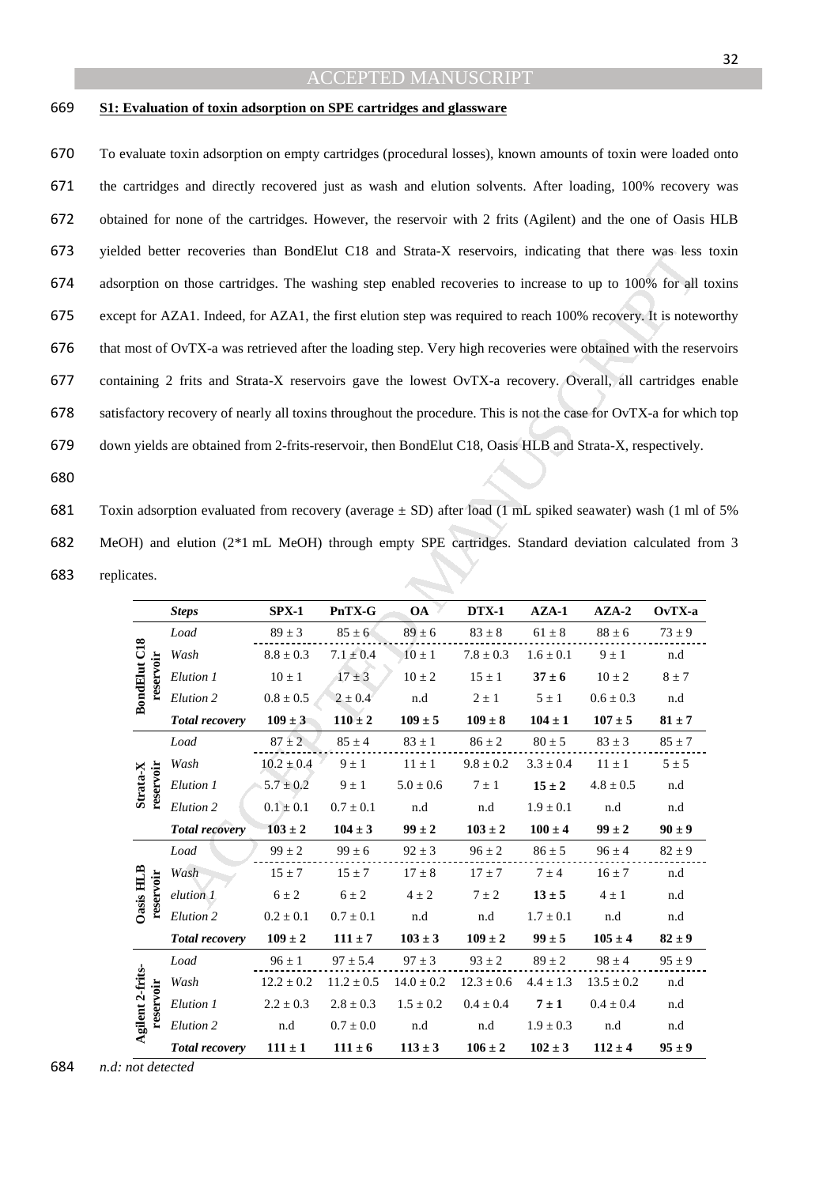#### 669 **S1: Evaluation of toxin adsorption on SPE cartridges and glassware**

To evaluate toxin adsorption on empty cartridges (procedural losses), known amounts of toxin were loaded onto the cartridges and directly recovered just as wash and elution solvents. After loading, 100% recovery was obtained for none of the cartridges. However, the reservoir with 2 frits (Agilent) and the one of Oasis HLB yielded better recoveries than BondElut C18 and Strata-X reservoirs, indicating that there was less toxin adsorption on those cartridges. The washing step enabled recoveries to increase to up to 100% for all toxins except for AZA1. Indeed, for AZA1, the first elution step was required to reach 100% recovery. It is noteworthy that most of OvTX-a was retrieved after the loading step. Very high recoveries were obtained with the reservoirs containing 2 frits and Strata-X reservoirs gave the lowest OvTX-a recovery. Overall, all cartridges enable satisfactory recovery of nearly all toxins throughout the procedure. This is not the case for OvTX-a for which top down yields are obtained from 2-frits-reservoir, then BondElut C18, Oasis HLB and Strata-X, respectively.

680

681 Toxin adsorption evaluated from recovery (average  $\pm$  SD) after load (1 mL spiked seawater) wash (1 ml of 5% 682 MeOH) and elution (2\*1 mL MeOH) through empty SPE cartridges. Standard deviation calculated from 3 683 replicates.

| ed better recoveries than BondElut C18 and Strata-X reservoirs, indicating that there was less         |                                                                                                          |                |                |                |                |               |                |            |  |  |
|--------------------------------------------------------------------------------------------------------|----------------------------------------------------------------------------------------------------------|----------------|----------------|----------------|----------------|---------------|----------------|------------|--|--|
| ption on those cartridges. The washing step enabled recoveries to increase to up to 100% for all t     |                                                                                                          |                |                |                |                |               |                |            |  |  |
| of for AZA1. Indeed, for AZA1, the first elution step was required to reach 100% recovery. It is notew |                                                                                                          |                |                |                |                |               |                |            |  |  |
|                                                                                                        | nost of OvTX-a was retrieved after the loading step. Very high recoveries were obtained with the rese    |                |                |                |                |               |                |            |  |  |
|                                                                                                        | ining 2 frits and Strata-X reservoirs gave the lowest OvTX-a recovery. Overall, all cartridges e         |                |                |                |                |               |                |            |  |  |
|                                                                                                        | actory recovery of nearly all toxins throughout the procedure. This is not the case for OvTX-a for which |                |                |                |                |               |                |            |  |  |
|                                                                                                        | i yields are obtained from 2-frits-reservoir, then BondElut C18, Oasis HLB and Strata-X, respectively.   |                |                |                |                |               |                |            |  |  |
|                                                                                                        |                                                                                                          |                |                |                |                |               |                |            |  |  |
|                                                                                                        |                                                                                                          |                |                |                |                |               |                |            |  |  |
|                                                                                                        | n adsorption evaluated from recovery (average $\pm$ SD) after load (1 mL spiked seawater) wash (1 ml o   |                |                |                |                |               |                |            |  |  |
|                                                                                                        | H) and elution (2 <sup>*</sup> 1 mL MeOH) through empty SPE cartridges. Standard deviation calculated fr |                |                |                |                |               |                |            |  |  |
| cates.                                                                                                 |                                                                                                          |                |                |                |                |               |                |            |  |  |
|                                                                                                        |                                                                                                          |                |                |                |                |               |                |            |  |  |
|                                                                                                        | <b>Steps</b>                                                                                             | $SPX-1$        | PnTX-G         | <b>OA</b>      | <b>DTX-1</b>   | $AZA-1$       | $AZA-2$        | $OvTX-a$   |  |  |
| <b>BondElut C18</b>                                                                                    | Load                                                                                                     | $89 \pm 3$     | $85 \pm 6$     | $89 \pm 6$     | $83 \pm 8$     | $61 \pm 8$    | $88\pm6$       | $73 \pm 9$ |  |  |
|                                                                                                        | Wash                                                                                                     | $8.8 \pm 0.3$  | $7.1 \pm 0.4$  | $10 \pm 1$     | $7.8\pm0.3$    | $1.6 \pm 0.1$ | $9 \pm 1$      | n.d        |  |  |
| reservoir                                                                                              | Elution 1                                                                                                | $10 \pm 1$     | $17 \pm 3$     | $10 \pm 2$     | $15 \pm 1$     | $37 \pm 6$    | $10 \pm 2$     | $8 \pm 7$  |  |  |
|                                                                                                        | Elution 2                                                                                                | $0.8 \pm 0.5$  | $2 \pm 0.4$    | n.d            | $2 \pm 1$      | $5 \pm 1$     | $0.6\pm0.3$    | n.d        |  |  |
|                                                                                                        | <b>Total recovery</b>                                                                                    | $109 \pm 3$    | $110 \pm 2$    | $109 \pm 5$    | $109 \pm 8$    | $104 \pm 1$   | $107 \pm 5$    | $81 \pm 7$ |  |  |
|                                                                                                        | Load                                                                                                     | $87 \pm 2$     | $85 \pm 4$     | $83 \pm 1$     | $86\pm2$       | $80 \pm 5$    | $83 \pm 3$     | $85 \pm 7$ |  |  |
|                                                                                                        | Wash                                                                                                     | $10.2 \pm 0.4$ | $9 \pm 1$      | $11 \pm 1$     | $9.8 \pm 0.2$  | $3.3 \pm 0.4$ | $11 \pm 1$     | $5 \pm 5$  |  |  |
| Strata-X<br>reservoir                                                                                  | Elution 1                                                                                                | $5.7 \pm 0.2$  | $9 \pm 1$      | $5.0 \pm 0.6$  | $7 \pm 1$      | $15 \pm 2$    | $4.8 \pm 0.5$  | n.d        |  |  |
|                                                                                                        | Elution 2                                                                                                | $0.1 \pm 0.1$  | $0.7 \pm 0.1$  | n.d            | n.d            | $1.9 \pm 0.1$ | n.d            | n.d        |  |  |
|                                                                                                        | <b>Total recovery</b>                                                                                    | $103 \pm 2$    | $104 \pm 3$    | $99 \pm 2$     | $103 \pm 2$    | $100 \pm 4$   | $99 \pm 2$     | $90 \pm 9$ |  |  |
|                                                                                                        | Load                                                                                                     | $99 \pm 2$     | $99 \pm 6$     | $92 \pm 3$     | $96 \pm 2$     | $86 \pm 5$    | $96 \pm 4$     | $82 \pm 9$ |  |  |
|                                                                                                        | Wash                                                                                                     | $15 \pm 7$     | $15 \pm 7$     | $17 \pm 8$     | $17 \pm 7$     | $7 \pm 4$     | $16 \pm 7$     | n.d        |  |  |
| reservo<br>Oasis HI                                                                                    | elution 1                                                                                                | $6 \pm 2$      | $6\pm2$        | $4 \pm 2$      | $7 \pm 2$      | $13 \pm 5$    | $4 \pm 1$      | n.d        |  |  |
|                                                                                                        | Elution <sub>2</sub>                                                                                     | $0.2 \pm 0.1$  | $0.7 \pm 0.1$  | n.d            | n.d            | $1.7\pm0.1$   | n.d            | n.d        |  |  |
|                                                                                                        | <b>Total recovery</b>                                                                                    | $109 \pm 2$    | $111 \pm 7$    | $103 \pm 3$    | $109 \pm 2$    | $99 \pm 5$    | $105 \pm 4$    | $82 \pm 9$ |  |  |
|                                                                                                        | Load                                                                                                     | $96 \pm 1$     | $97 \pm 5.4$   | $97 \pm 3$     | $93 \pm 2$     | $89\pm2$      | $98 \pm 4$     | $95 \pm 9$ |  |  |
|                                                                                                        | Wash                                                                                                     | $12.2 \pm 0.2$ | $11.2 \pm 0.5$ | $14.0 \pm 0.2$ | $12.3 \pm 0.6$ | $4.4 \pm 1.3$ | $13.5 \pm 0.2$ | n.d        |  |  |
| reservoir                                                                                              | Elution 1                                                                                                | $2.2 \pm 0.3$  | $2.8 \pm 0.3$  | $1.5 \pm 0.2$  | $0.4 \pm 0.4$  | $7 \pm 1$     | $0.4 \pm 0.4$  | n.d        |  |  |
| Agilent 2-frits-                                                                                       | Elution 2                                                                                                | n.d            | $0.7\pm0.0$    | n.d            | n.d            | $1.9 \pm 0.3$ | n.d            | n.d        |  |  |
|                                                                                                        | <b>Total recovery</b>                                                                                    | $111 \pm 1$    | $111 \pm 6$    | $113 \pm 3$    | $106 \pm 2$    | $102 \pm 3$   | $112 \pm 4$    | $95 \pm 9$ |  |  |
|                                                                                                        |                                                                                                          |                |                |                |                |               |                |            |  |  |

684 *n.d: not detected*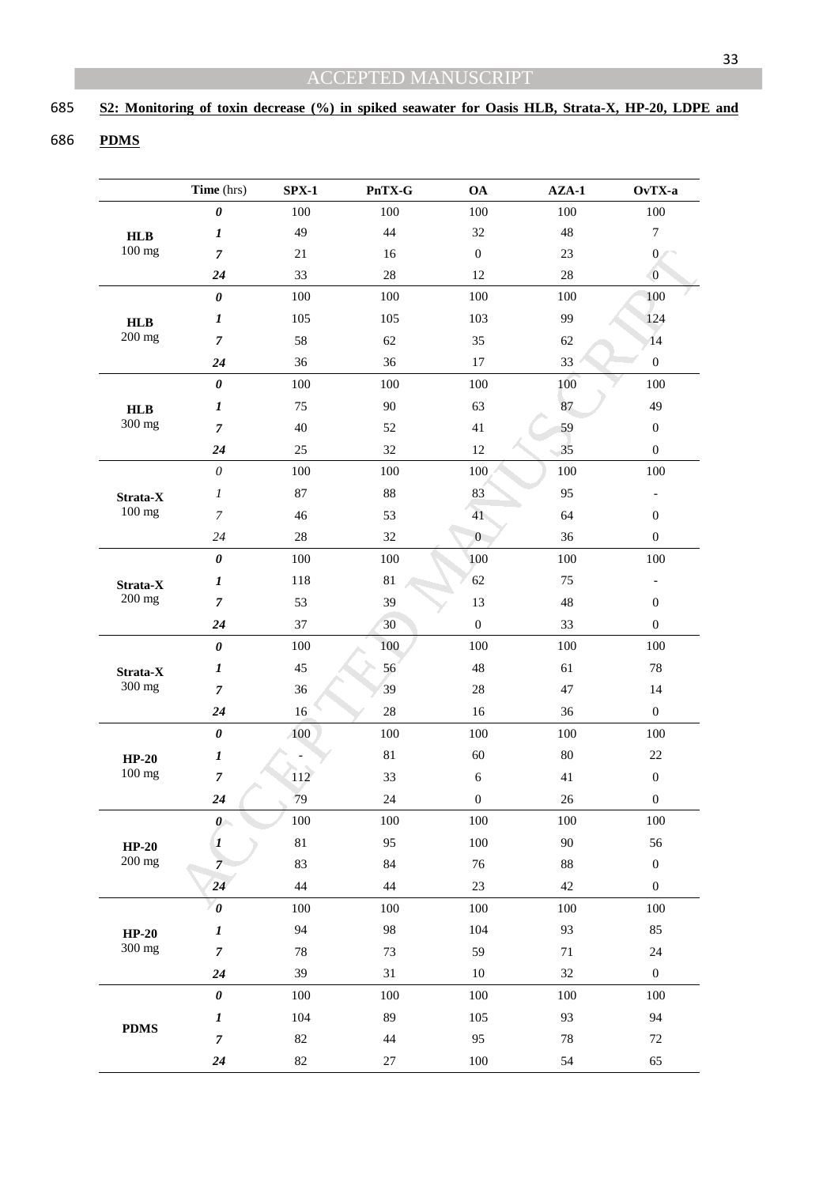## **S2: Monitoring of toxin decrease (%) in spiked seawater for Oasis HLB, Strata-X, HP-20, LDPE and**

## **PDMS**

|             | Time (hrs)            | $SPX-1$ | PnTX-G  | <b>OA</b>        | $AZA-1$ | OvTX-a                   |
|-------------|-----------------------|---------|---------|------------------|---------|--------------------------|
|             | $\boldsymbol{\theta}$ | 100     | 100     | 100              | 100     | 100                      |
| HLB         | 1                     | 49      | 44      | 32               | 48      | $\boldsymbol{7}$         |
| 100 mg      | $\overline{7}$        | 21      | 16      | $\boldsymbol{0}$ | 23      | $\boldsymbol{0}$         |
|             | 24                    | 33      | 28      | 12               | 28      | $\overline{0}$           |
|             | $\pmb{\theta}$        | 100     | 100     | 100              | 100     | 100                      |
| HLB         | 1                     | 105     | 105     | 103              | 99      | 124                      |
| 200 mg      | $\overline{7}$        | 58      | 62      | 35               | 62      | 14                       |
|             | 24                    | 36      | 36      | $17\,$           | 33      | $\boldsymbol{0}$         |
|             | $\pmb{\theta}$        | 100     | 100     | 100              | 100     | 100                      |
| HLB         | $\boldsymbol{l}$      | 75      | 90      | 63               | 87      | 49                       |
| 300 mg      | $\overline{7}$        | 40      | 52      | 41               | 59      | $\boldsymbol{0}$         |
|             | 24                    | 25      | 32      | 12               | 35      | $\boldsymbol{0}$         |
|             | $\theta$              | 100     | 100     | 100              | 100     | 100                      |
| Strata-X    | $\boldsymbol{l}$      | $87\,$  | 88      | 83               | 95      |                          |
| 100 mg      | $\overline{7}$        | 46      | 53      | 41               | 64      | $\boldsymbol{0}$         |
|             | 24                    | $28\,$  | 32      | $\overline{0}$   | 36      | $\boldsymbol{0}$         |
|             | $\pmb{\theta}$        | 100     | 100     | 100              | 100     | 100                      |
| Strata-X    | $\boldsymbol{l}$      | 118     | 81      | 62               | 75      | $\overline{\phantom{0}}$ |
| 200 mg      | $\overline{7}$        | 53      | 39      | 13               | 48      | $\boldsymbol{0}$         |
|             | 24                    | 37      | 30      | $\boldsymbol{0}$ | 33      | $\boldsymbol{0}$         |
|             | $\pmb{\theta}$        | 100     | 100     | 100              | 100     | 100                      |
| Strata-X    | $\boldsymbol{l}$      | 45      | 56      | 48               | 61      | 78                       |
| 300 mg      | $\overline{7}$        | 36      | 39      | $28\,$           | 47      | 14                       |
|             | 24                    | 16      | 28      | 16               | 36      | $\boldsymbol{0}$         |
|             | $\pmb{\theta}$        | 100     | 100     | 100              | 100     | 100                      |
| $HP-20$     | $\boldsymbol{l}$      |         | 81      | 60               | 80      | 22                       |
| 100 mg      | $\overline{7}$        | 112     | 33      | 6                | 41      | $\boldsymbol{0}$         |
|             | 24                    | 79      | 24      | $\boldsymbol{0}$ | 26      | $\boldsymbol{0}$         |
|             | $\theta$              | 100     | 100     | 100              | 100     | 100                      |
| $HP-20$     | $\boldsymbol{l}$      | 81      | 95      | 100              | 90      | 56                       |
| 200 mg      | $\overline{7}$        | 83      | 84      | 76               | $88\,$  | $\boldsymbol{0}$         |
|             | 24                    | 44      | 44      | 23               | 42      | $\boldsymbol{0}$         |
|             | $\boldsymbol{\theta}$ | $100\,$ | $100\,$ | $100\,$          | $100\,$ | $100\,$                  |
| $HP-20$     | $\boldsymbol{l}$      | 94      | 98      | 104              | 93      | 85                       |
| 300 mg      | $\overline{7}$        | $78\,$  | 73      | 59               | 71      | 24                       |
|             | 24                    | 39      | 31      | $10\,$           | 32      | $\boldsymbol{0}$         |
|             | $\pmb{\theta}$        | 100     | 100     | 100              | 100     | 100                      |
|             | $\boldsymbol{l}$      | 104     | 89      | 105              | 93      | 94                       |
| <b>PDMS</b> | $\overline{7}$        | 82      | 44      | 95               | 78      | 72                       |
|             | 24                    | $82\,$  | $27\,$  | $100\,$          | 54      | 65                       |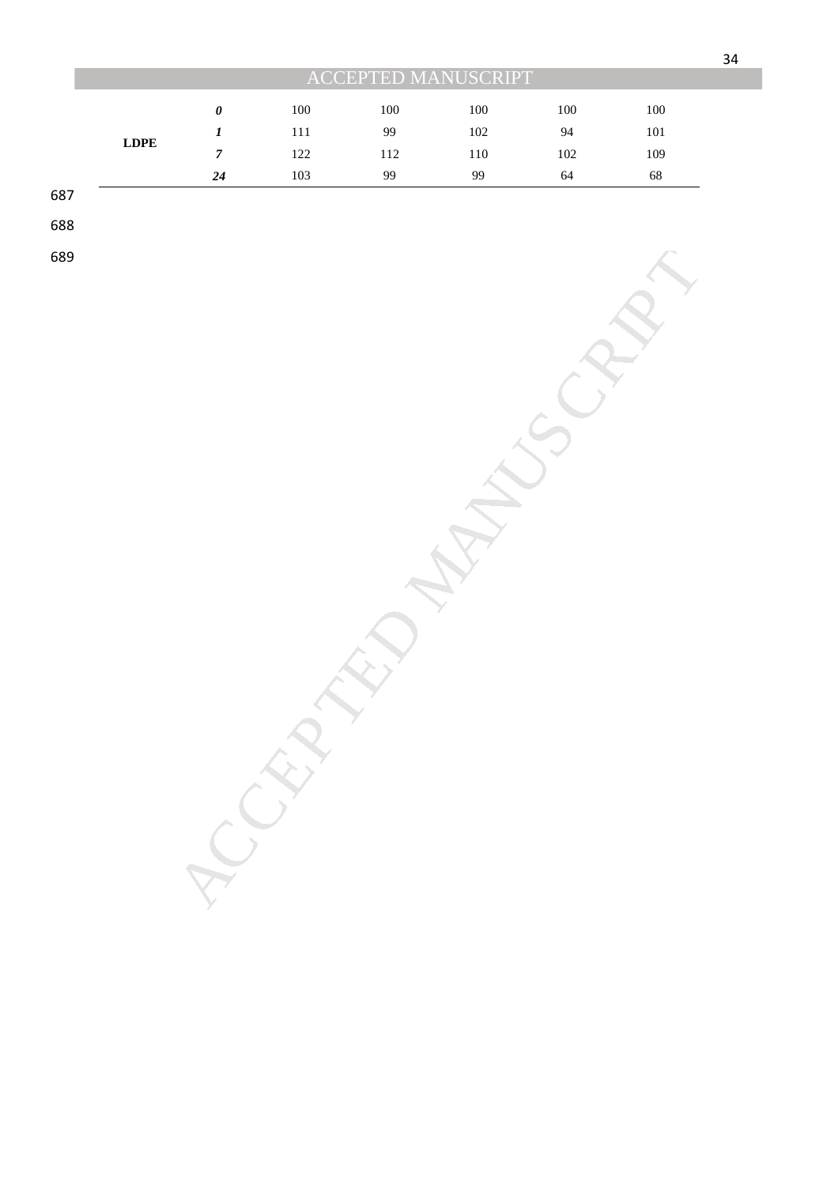|             | <b>ACCEPTED MANUSCRIPT</b> |     |     |     |     |     |  |  |  |
|-------------|----------------------------|-----|-----|-----|-----|-----|--|--|--|
|             | 0                          | 100 | 100 | 100 | 100 | 100 |  |  |  |
|             |                            | 111 | 99  | 102 | 94  | 101 |  |  |  |
| <b>LDPE</b> |                            | 122 | 112 | 110 | 102 | 109 |  |  |  |
|             | 24                         | 103 | 99  | 99  | 64  | 68  |  |  |  |